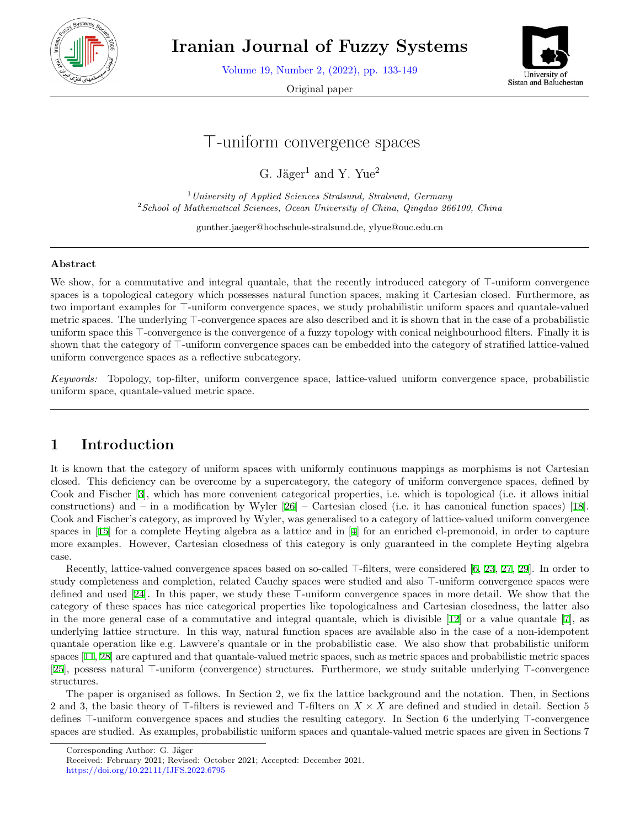

**Iranian Journal of Fuzzy Systems**

Volume 19, Number 2, (2022), pp. 133-149

Original paper



# *⊤*-uniform convergence spaces

G. Jäger<sup>1</sup> and Y. Yue<sup>2</sup>

<sup>1</sup>*University of Applied Sciences Stralsund, Stralsund, Germany* <sup>2</sup>*School of Mathematical Sciences, Ocean University of China, Qingdao 266100, China*

gunther.jaeger@hochschule-stralsund.de, ylyue@ouc.edu.cn

#### **Abstract**

We show, for a commutative and integral quantale, that the recently introduced category of *⊤*-uniform convergence spaces is a topological category which possesses natural function spaces, making it Cartesian closed. Furthermore, as two important examples for *⊤*-uniform convergence spaces, we study probabilistic uniform spaces and quantale-valued metric spaces. The underlying *⊤*-convergence spaces are also described and it is shown that in the case of a probabilistic uniform space this <sup>*⊤*</sup>-convergence is the convergence of a fuzzy topology with conical neighbourhood filters. Finally it is shown that the category of *⊤*-uniform convergence spaces can be embedded into the category of stratified lattice-valued uniform convergence spaces as a reflective subcategory.

*Keywords:* Topology, top-filter, uniform convergence space, lattice-valued uniform convergence space, probabilistic uniform space, quantale-valued metric space.

# **1 Introduction**

It is known that the category of uniform spaces with uniformly continuous mappings as morphisms is not Cartesian closed. This deficiency can be overcome by a supercategory, the category of uniform convergence spaces, defined by Cook and Fischer [\[3](#page-15-0)], which has more convenient categorical properties, i.e. which is topological (i.e. it allows initial constructions) and – in a modification by Wyler [\[26](#page-16-0)] – Cartesian closed (i.e. it has canonical function spaces) [\[18](#page-16-1)]. Cook and Fischer's category, as improved by Wyler, was generalised to a category of lattice-valued uniform convergence spaces in[[15\]](#page-15-1) for a complete Heyting algebra as a lattice and in [\[4](#page-15-2)] for an enriched cl-premonoid, in order to capture more examples. However, Cartesian closedness of this category is only guaranteed in the complete Heyting algebra case.

Recently, lattice-valued convergence spaces based on so-called *⊤*-filters, were considered[[6,](#page-15-3) [23,](#page-16-2) [27,](#page-16-3) [29](#page-16-4)]. In order to study completeness and completion, related Cauchy spaces were studied and also *⊤*-uniform convergence spaces were defined and used [\[24](#page-16-5)]. In this paper, we study these *⊤*-uniform convergence spaces in more detail. We show that the category of these spaces has nice categorical properties like topologicalness and Cartesian closedness, the latter also in the more general case of a commutative and integral quantale, which is divisible[[12](#page-15-4)] or a value quantale[[7\]](#page-15-5), as underlying lattice structure. In this way, natural function spaces are available also in the case of a non-idempotent quantale operation like e.g. Lawvere's quantale or in the probabilistic case. We also show that probabilistic uniform spaces[[11,](#page-15-6) [28\]](#page-16-6) are captured and that quantale-valued metric spaces, such as metric spaces and probabilistic metric spaces [[25\]](#page-16-7), possess natural *⊤*-uniform (convergence) structures. Furthermore, we study suitable underlying *⊤*-convergence structures.

The paper is organised as follows. In Section 2, we fix the lattice background and the notation. Then, in Sections 2 and 3, the basic theory of *⊤*-filters is reviewed and *⊤*-filters on *X × X* are defined and studied in detail. Section 5 defines *⊤*-uniform convergence spaces and studies the resulting category. In Section 6 the underlying *⊤*-convergence spaces are studied. As examples, probabilistic uniform spaces and quantale-valued metric spaces are given in Sections 7

Corresponding Author: G. Jäger

Received: February 2021; Revised: October 2021; Accepted: December 2021.

https://doi.org/10.22111/IJFS.2022.6795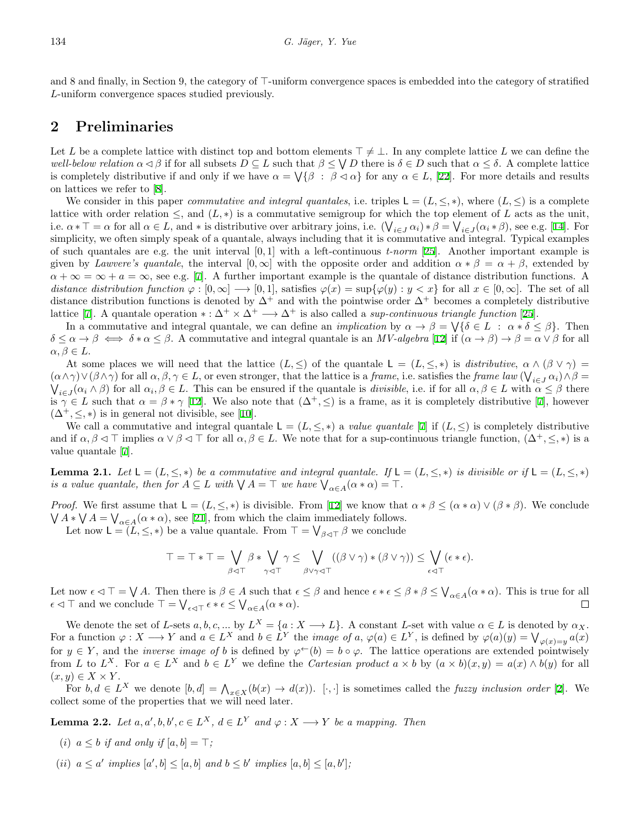and 8 and finally, in Section 9, the category of *⊤*-uniform convergence spaces is embedded into the category of stratified *L*-uniform convergence spaces studied previously.

#### **2 Preliminaries**

Let *L* be a complete lattice with distinct top and bottom elements  $\top \neq \bot$ . In any complete lattice *L* we can define the *well-below relation*  $\alpha \leq \beta$  if for all subsets  $D \subseteq L$  such that  $\beta \leq \bigvee D$  there is  $\delta \in D$  such that  $\alpha \leq \delta$ . A complete lattice iscompletely distributive if and only if we have  $\alpha = \bigvee \{ \beta : \beta \leq \alpha \}$  for any  $\alpha \in L$ , [[22\]](#page-16-8). For more details and results on lattices we refer to[[8](#page-15-7)].

We consider in this paper *commutative and integral quantales*, i.e. triples  $L = (L, \leq, *)$ , where  $(L, \leq)$  is a complete lattice with order relation  $\leq$ , and  $(L, *)$  is a commutative semigroup for which the top element of *L* acts as the unit, i.e.  $\alpha * \top = \alpha$  for all  $\alpha \in L$ , and  $*$  is distributive over arbitrary joins, i.e.  $(\bigvee_{i \in J} \alpha_i) * \beta = \bigvee_{i \in J} (\alpha_i * \beta)$ , see e.g. [\[14](#page-15-8)]. For simplicity, we often simply speak of a quantale, always including that it is commutative and integral. Typical examples of such quantales are e.g. the unit interval [0*,* 1] with a left-continuous *t-norm* [\[25\]](#page-16-7). Another important example is given by *Lawvere's quantale*, the interval  $[0, \infty]$  with the opposite order and addition  $\alpha * \beta = \alpha + \beta$ , extended by  $\alpha + \infty = \infty + a = \infty$  $\alpha + \infty = \infty + a = \infty$  $\alpha + \infty = \infty + a = \infty$ , see e.g. [[7](#page-15-5)]. A further important example is the quantale of distance distribution functions. A distance distribution function  $\varphi : [0, \infty] \longrightarrow [0, 1]$ , satisfies  $\varphi(x) = \sup{\{\varphi(y) : y < x\}}$  for all  $x \in [0, \infty]$ . The set of all distance distribution functions is denoted by  $\Delta^+$  and with the pointwise order  $\Delta^+$  becomes a completely distributive lattice [\[7](#page-15-5)]. A quantale operation  $* : \Delta^+ \times \Delta^+ \longrightarrow \Delta^+$  is also called a *sup-continuous triangle function* [\[25](#page-16-7)].

In a commutative and integral quantale, we can define an *implication* by  $\alpha \to \beta = \bigvee {\delta \in L : \alpha * \delta \leq \beta}$ . Then  $\delta \leq \alpha \to \beta \iff \delta * \alpha \leq \beta$ . A commutative and integral quantale is an *MV-algebra* [[12\]](#page-15-4) if  $(\alpha \to \beta) \to \beta = \alpha \lor \beta$  for all  $\alpha, \beta \in L$ .

At some places we will need that the lattice  $(L, \leq)$  of the quantale  $L = (L, \leq, *)$  is *distributive*,  $\alpha \wedge (\beta \vee \gamma) =$  $(\alpha \wedge \gamma) \vee (\beta \wedge \gamma)$  for all  $\alpha, \beta, \gamma \in L$ , or even stronger, that the lattice is a *frame*, i.e. satisfies the *frame law*  $(\bigvee_{i \in J} \alpha_i) \wedge \beta = \bigvee_{i \in J} (\alpha_i \wedge \beta)$  for all  $\alpha_i, \beta \in L$ . This can be ensured if the quanta  $\alpha_i\in J(\alpha_i\wedge\beta)$  for all  $\alpha_i,\beta\in L$ . This can be ensured if the quantale is *divisible*, i.e. if for all  $\alpha,\beta\in L$  with  $\alpha\leq\beta$  there is $\gamma \in L$  such that  $\alpha = \beta * \gamma$  [\[12](#page-15-4)]. We also note that  $(\Delta^+, \leq)$  is a frame, as it is completely distributive [[7\]](#page-15-5), however  $(\Delta^+, \leq, *)$  is in general not divisible, see [\[10](#page-15-9)].

We call a commutative and integral quantale  $L = (L, \leq, *)$  a *value quantale* [[7\]](#page-15-5) if  $(L, \leq)$  is completely distributive and if  $\alpha, \beta \leq \top$  implies  $\alpha \vee \beta \leq \top$  for all  $\alpha, \beta \in L$ . We note that for a sup-continuous triangle function,  $(\Delta^+, \leq, *)$  is a value quantale [\[7](#page-15-5)].

**Lemma 2.1.** Let  $L = (L, \leq, *)$  be a commutative and integral quantale. If  $L = (L, \leq, *)$  is divisible or if  $L = (L, \leq, *)$ *is a value quantale, then for*  $A \subseteq L$  *with*  $\bigvee A = \top$  *we have*  $\bigvee_{\alpha \in A} (\alpha * \alpha) = \top$ *.* 

*Proof.* We first assume that  $L = (L, \leq, *)$  is divisible. From [\[12](#page-15-4)] we know that  $\alpha * \beta \leq (\alpha * \alpha) \vee (\beta * \beta)$ . We conclude  $\bigvee A * \bigvee A = \bigvee_{\alpha \in A} (\alpha * \alpha)$  $\bigvee A * \bigvee A = \bigvee_{\alpha \in A} (\alpha * \alpha)$  $\bigvee A * \bigvee A = \bigvee_{\alpha \in A} (\alpha * \alpha)$ , see [[21\]](#page-16-9), from which the claim immediately follows.

Let now  $\mathsf{L} = (L, \leq, *)$  be a value quantale. From  $\top = \bigvee_{\beta \leq \top} \beta$  we conclude

$$
\top = \top * \top = \bigvee_{\beta \lhd \top} \beta * \bigvee_{\gamma \lhd \top} \gamma \leq \bigvee_{\beta \lor \gamma \lhd \top} ((\beta \lor \gamma) * (\beta \lor \gamma)) \leq \bigvee_{\epsilon \lhd \top} (\epsilon * \epsilon).
$$

Let now  $\epsilon \lhd \top = \bigvee A$ . Then there is  $\beta \in A$  such that  $\epsilon \leq \beta$  and hence  $\epsilon * \epsilon \leq \beta * \beta \leq \bigvee_{\alpha \in A} (\alpha * \alpha)$ . This is true for all  $\epsilon \lhd \top$  and we conclude  $\top = \bigvee_{\epsilon \lhd \top} \epsilon * \epsilon \leq \bigvee_{\alpha \in A} (\alpha * \alpha).$ 

We denote the set of L-sets  $a, b, c, ...$  by  $L^X = \{a : X \longrightarrow L\}$ . A constant L-set with value  $\alpha \in L$  is denoted by  $\alpha_X$ . For a function  $\varphi: X \longrightarrow Y$  and  $a \in L^X$  and  $b \in L^Y$  the *image of a*,  $\varphi(a) \in L^Y$ , is defined by  $\varphi(a)(y) = \bigvee_{\varphi(x) = y} a(x)$ for  $y \in Y$ , and the *inverse image of b* is defined by  $\varphi^{\leftarrow}(b) = b \circ \varphi$ . The lattice operations are extended pointwisely from L to  $L^X$ . For  $a \in L^X$  and  $b \in L^Y$  we define the Cartesian product  $a \times b$  by  $(a \times b)(x, y) = a(x) \wedge b(y)$  for all  $(x, y) \in X \times Y$ .

For  $b, d \in L^X$  we denote  $[b, d] = \bigwedge_{x \in X} (b(x) \to d(x))$ . [...] is sometimes called the *fuzzy inclusion order* [[2\]](#page-15-10). We collect some of the properties that we will need later.

**Lemma 2.2.** Let  $a, a', b, b', c \in L^X$ ,  $d \in L^Y$  and  $\varphi : X \longrightarrow Y$  be a mapping. Then

- (*i*)  $a \leq b$  *if and only if*  $[a, b] = \top$ ;
- (ii)  $a \le a'$  implies  $[a',b] \le [a,b]$  and  $b \le b'$  implies  $[a,b] \le [a,b']$ ;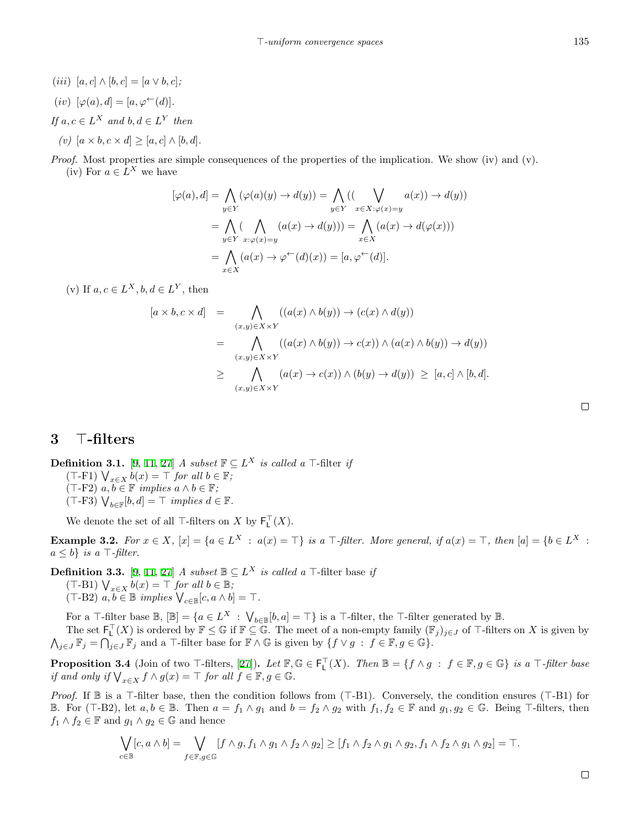$(iii) [a, c] \wedge [b, c] = [a \vee b, c];$ 

$$
(iv) \ [\varphi(a), d] = [a, \varphi^{\leftarrow}(d)].
$$

*If*  $a, c \in L^X$  *and*  $b, d \in L^Y$  *then* 

 $(v)$  [ $a \times b, c \times d$ ] > [ $a, c$ ]  $\wedge$  [ $b, d$ ].

*Proof.* Most properties are simple consequences of the properties of the implication. We show (iv) and (v). (iv) For  $a \in L^X$  we have

$$
[\varphi(a), d] = \bigwedge_{y \in Y} (\varphi(a)(y) \to d(y)) = \bigwedge_{y \in Y} ((\bigvee_{x \in X : \varphi(x) = y} a(x)) \to d(y))
$$

$$
= \bigwedge_{y \in Y} (\bigwedge_{x : \varphi(x) = y} (a(x) \to d(y))) = \bigwedge_{x \in X} (a(x) \to d(\varphi(x)))
$$

$$
= \bigwedge_{x \in X} (a(x) \to \varphi^{\leftarrow}(d)(x)) = [a, \varphi^{\leftarrow}(d)].
$$

(v) If  $a, c \in L^X, b, d \in L^Y$ , then

$$
[a \times b, c \times d] = \bigwedge_{(x,y)\in X\times Y} ((a(x)\wedge b(y)) \to (c(x)\wedge d(y)))
$$
  

$$
= \bigwedge_{(x,y)\in X\times Y} ((a(x)\wedge b(y)) \to c(x)) \wedge (a(x)\wedge b(y)) \to d(y))
$$
  

$$
\geq \bigwedge_{(x,y)\in X\times Y} (a(x) \to c(x)) \wedge (b(y) \to d(y)) \geq [a, c] \wedge [b, d].
$$

## **3** *⊤***-filters**

**Definition 3.1.** [\[9](#page-15-11), [11](#page-15-6), [27](#page-16-3)] *A subset*  $\mathbb{F} \subseteq L^X$  *is called a*  $\top$ -filter *if* (*⊤*-F1) ∨ *<sup>x</sup>∈<sup>X</sup> b*(*x*) = *⊤ for all b ∈* F*;*  $(T-F2)$   $a, b ∈ \mathbb{F}$  *implies*  $a ∧ b ∈ \mathbb{F}$ *;* (*⊤*-F3) ∨ *b∈*F [*b, d*] = *⊤ implies d ∈* F*.*

We denote the set of all  $\top$ -filters on *X* by  $\mathsf{F}_\mathsf{L}^\top(X)$ .

**Example 3.2.** For  $x \in X$ ,  $[x] = \{a \in L^X : a(x) = \top\}$  is a  $\top$ -filter. More general, if  $a(x) = \top$ , then  $[a] = \{b \in L^X : a(x) = \top\}$ *a ≤ b} is a ⊤-filter.*

**Definition 3.3.** [\[9](#page-15-11), [11](#page-15-6), [27](#page-16-3)] *A subset*  $\mathbb{B} \subseteq L^X$  *is called a*  $\top$ -filter base *if* (*⊤*-B1) ∨ *<sup>x</sup>∈<sup>X</sup> b*(*x*) = *⊤ for all b ∈* B*;*  $(\top - B2)$   $a, b \in \mathbb{B}$  *implies*  $\bigvee_{c \in \mathbb{B}} [c, a \wedge b] = \top$ *.* 

For a  $\top$ -filter base  $\mathbb{B}$ ,  $[\mathbb{B}] = \{a \in L^X : \bigvee_{b \in \mathbb{B}} [b, a] = \top\}$  is a  $\top$ -filter, the  $\top$ -filter generated by  $\mathbb{B}$ . The set  $\mathsf{F}_\mathsf{L}^\top(X)$  is ordered by  $\mathbb{F} \leq \mathbb{G}$  if  $\mathbb{F} \subseteq \mathbb{G}$ . The meet of a non-empty family  $(\mathbb{F}_j)_{j \in J}$  of  $\top$ -filters on *X* is given by  $\bigwedge_{j\in J} \mathbb{F}_j = \bigcap_{j\in J} \mathbb{F}_j$  and a *⊤*-filter base for  $\mathbb{F} \wedge \mathbb{G}$  is given by  $\{f \vee g : f \in \mathbb{F}, g \in \mathbb{G}\}.$ 

**Proposition3.4** (Join of two  $\top$ -filters, [[27](#page-16-3)]). Let  $\mathbb{F}, \mathbb{G} \in \mathsf{F}_\mathsf{L}^\top(X)$ . Then  $\mathbb{B} = \{f \wedge g : f \in \mathbb{F}, g \in \mathbb{G}\}\$  is a  $\top$ -filter base *if and only if*  $\bigvee_{x \in X} f \wedge g(x) = \top$  *for all*  $f \in \mathbb{F}, g \in \mathbb{G}$ *.* 

*Proof.* If **B** is a *⊤*-filter base, then the condition follows from (*⊤*-B1). Conversely, the condition ensures (*⊤*-B1) for **B.** For (T-B2), let  $a, b \in \mathbb{B}$ . Then  $a = f_1 \wedge g_1$  and  $b = f_2 \wedge g_2$  with  $f_1, f_2 \in \mathbb{F}$  and  $g_1, g_2 \in \mathbb{G}$ . Being T-filters, then *f*<sub>1</sub>  $\land$  *f*<sub>2</sub> ∈ **F** and *g*<sub>1</sub>  $\land$  *g*<sub>2</sub> ∈ **G** and hence

$$
\bigvee_{c \in \mathbb{B}} [c, a \wedge b] = \bigvee_{f \in \mathbb{F}, g \in \mathbb{G}} [f \wedge g, f_1 \wedge g_1 \wedge f_2 \wedge g_2] \geq [f_1 \wedge f_2 \wedge g_1 \wedge g_2, f_1 \wedge f_2 \wedge g_1 \wedge g_2] = \top.
$$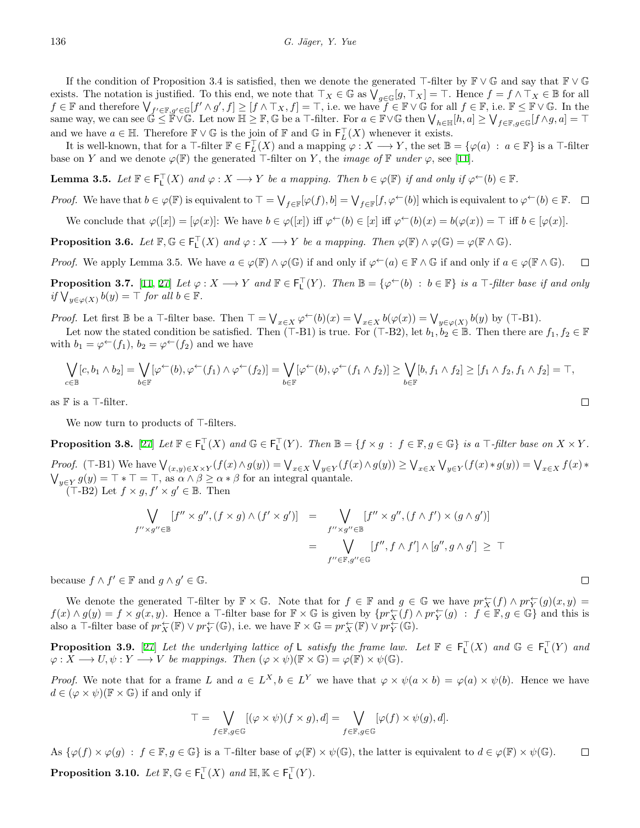If the condition of Proposition 3.4 is satisfied, then we denote the generated *⊤*-filter by F *∨* G and say that F *∨* G exists. The notation is justified. To this end, we note that  $\top_X \in \mathbb{G}$  as  $\bigvee_{g \in \mathbb{G}} [g, \top_X] = \top$ . Hence  $f = f \land \top_X \in \mathbb{B}$  for all  $f \in \mathbb{F}$  and therefore  $\bigvee_{f' \in \mathbb{F}, g' \in \mathbb{G}} [f' \wedge g', f] \geq [f \wedge \top_X, f] = \top$ , i.e. we have  $f \in \mathbb{F} \vee \mathbb{G}$  for all  $f \in \mathbb{F}$ , i.e.  $\mathbb{F} \leq \mathbb{F} \vee \mathbb{G}$ . In the same way, we can see  $\mathbb{G} \leq \mathbb{F} \vee \mathbb{G}$ . Let now  $\mathbb{H} \geq \mathbb{F}$ ,  $\mathbb{G}$  be a  $\top$ -filter. For  $a \in \mathbb{F} \vee \mathbb{G}$  then  $\bigvee_{h \in \mathbb{H}} [h, a] \geq \bigvee_{f \in \mathbb{F}, g \in \mathbb{G}} [f \wedge g, a] = \top$ and we have  $a \in \mathbb{H}$ . Therefore  $\mathbb{F} \vee \mathbb{G}$  is the join of  $\mathbb{F}$  and  $\mathbb{G}$  in  $\mathsf{F}_L^{\mathsf{T}}(X)$  whenever it exists.

It is well-known, that for a  $\top$ -filter  $\mathbb{F} \in \mathsf{F}_L^{\top}(X)$  and a mapping  $\varphi: X \longrightarrow Y$ , the set  $\mathbb{B} = {\varphi(a) : a \in \mathbb{F}}$  is a  $\top$ -filter base on *Y* and we denote  $\varphi(\mathbb{F})$  the generated *⊤*-filter on *Y*, the *image of*  $\mathbb{F}$  *under*  $\varphi$ , see [\[11](#page-15-6)].

**Lemma 3.5.** Let  $\mathbb{F} \in \mathsf{F}_\mathsf{L}^\top(X)$  and  $\varphi : X \longrightarrow Y$  be a mapping. Then  $b \in \varphi(\mathbb{F})$  if and only if  $\varphi^{\leftarrow}(b) \in \mathbb{F}$ .

*Proof.* We have that  $b \in \varphi(\mathbb{F})$  is equivalent to  $\top = \bigvee_{f \in \mathbb{F}} [\varphi(f), b] = \bigvee_{f \in \mathbb{F}} [f, \varphi^{\leftarrow}(b)]$  which is equivalent to  $\varphi^{\leftarrow}(b) \in \mathbb{F}$ .

We conclude that  $\varphi([x]) = [\varphi(x)]$ : We have  $b \in \varphi([x])$  iff  $\varphi^{\leftarrow}(b) \in [x]$  iff  $\varphi^{\leftarrow}(b)(x) = b(\varphi(x)) = \top$  iff  $b \in [\varphi(x)]$ .

**Proposition 3.6.** *Let*  $\mathbb{F}, \mathbb{G} \in \mathsf{F}_\mathsf{L}^\top(X)$  and  $\varphi : X \longrightarrow Y$  be a mapping. Then  $\varphi(\mathbb{F}) \wedge \varphi(\mathbb{G}) = \varphi(\mathbb{F} \wedge \mathbb{G})$ .

*Proof.* We apply Lemma 3.5. We have  $a \in \varphi(\mathbb{F}) \land \varphi(\mathbb{G})$  if and only if  $\varphi^{\leftarrow}(a) \in \mathbb{F} \land \mathbb{G}$  if and only if  $a \in \varphi(\mathbb{F} \land \mathbb{G})$ .  $\Box$ 

**Proposition 3.7.** [[11,](#page-15-6) [27\]](#page-16-3) Let  $\varphi: X \longrightarrow Y$  and  $\mathbb{F} \in \mathsf{F}_\mathsf{L}^{\top}(Y)$ . Then  $\mathbb{B} = {\varphi^{\leftarrow}(b) : b \in \mathbb{F}}$  is a  $\top$ -filter base if and only  $if \forall y \in \varphi(X)} b(y) = \top$  *for all*  $b \in \mathbb{F}$ *.* 

*Proof.* Let first  $\mathbb B$  be a T-filter base. Then  $\top = \bigvee_{x \in X} \varphi^{\leftarrow}(b)(x) = \bigvee_{x \in X} b(\varphi(x)) = \bigvee_{y \in \varphi(X)} b(y)$  by (T-B1).

Let now the stated condition be satisfied. Then (*⊤*-B1) is true. For (*⊤*-B2), let  $b_1, b_2 \in \mathbb{B}$ . Then there are  $f_1, f_2 \in \mathbb{F}$ with  $b_1 = \varphi^{\leftarrow}(f_1)$ ,  $b_2 = \varphi^{\leftarrow}(f_2)$  and we have

$$
\bigvee_{c \in \mathbb{B}} [c, b_1 \wedge b_2] = \bigvee_{b \in \mathbb{F}} [\varphi^{\leftarrow}(b), \varphi^{\leftarrow}(f_1) \wedge \varphi^{\leftarrow}(f_2)] = \bigvee_{b \in \mathbb{F}} [\varphi^{\leftarrow}(b), \varphi^{\leftarrow}(f_1 \wedge f_2)] \ge \bigvee_{b \in \mathbb{F}} [b, f_1 \wedge f_2] \ge [f_1 \wedge f_2, f_1 \wedge f_2] = \top,
$$

as F is a *⊤*-filter.

We now turn to products of *⊤*-filters.

**Proposition 3.8.** [\[27](#page-16-3)] Let  $\mathbb{F} \in \mathsf{F}_\mathsf{L}^\top(X)$  and  $\mathbb{G} \in \mathsf{F}_\mathsf{L}^\top(Y)$ . Then  $\mathbb{B} = \{f \times g : f \in \mathbb{F}, g \in \mathbb{G}\}$  is a  $\top$ -filter base on  $X \times Y$ .

*Proof.* (T-B1) We have  $\bigvee_{(x,y)\in X\times Y}(f(x)\wedge g(y)) = \bigvee_{x\in X}\bigvee_{y\in Y}(f(x)\wedge g(y)) \ge \bigvee_{x\in X}\bigvee_{y\in Y}(f(x)*g(y)) = \bigvee_{x\in X}f(x)*g(y) = \top * \top = \top$ , as  $\alpha \wedge \beta \ge \alpha * \beta$  for an integral quantale.  $y \in Y$   $g(y) = T * T = T$ , as  $\alpha \wedge \beta \ge \alpha * \beta$  for an integral quantale.  $($ T-B2 $)$  Let  $f \times g$ ,  $f' \times g' \in \mathbb{B}$ . Then

$$
\bigvee_{f'' \times g'' \in \mathbb{B}} [f'' \times g'', (f \times g) \wedge (f' \times g')] = \bigvee_{f'' \times g'' \in \mathbb{B}} [f'' \times g'', (f \wedge f') \times (g \wedge g')] \n= \bigvee_{f'' \in \mathbb{F}, g'' \in \mathbb{G}} [f'', f \wedge f'] \wedge [g'', g \wedge g'] \ge \top
$$

because  $f \wedge f' \in \mathbb{F}$  and  $g \wedge g' \in \mathbb{G}$ .

We denote the generated  $\top$ -filter by  $\mathbb{F} \times \mathbb{G}$ . Note that for  $f \in \mathbb{F}$  and  $g \in \mathbb{G}$  we have  $pr_X^{\leftarrow}(f) \wedge pr_Y^{\leftarrow}(g)(x, y) =$  $f(x) \wedge g(y) = f \times g(x, y)$ . Hence a T-filter base for  $\mathbb{F} \times \mathbb{G}$  is given by  $\{pr_X^{\leftarrow}(f) \wedge pr_Y^{\leftarrow}(g) : f \in \mathbb{F}, g \in \mathbb{G}\}\$  and this is also a *⊤*-filter base of  $pr_X^{\leftarrow}(\mathbb{F}) \vee pr_Y^{\leftarrow}(\mathbb{G})$ , i.e. we have  $\mathbb{F} \times \mathbb{G} = pr_X^{\leftarrow}(\mathbb{F}) \vee pr_Y^{\leftarrow}(\mathbb{G})$ .

**Proposition 3.9.** [[27\]](#page-16-3) *Let the underlying lattice of* L *satisfy the frame law. Let*  $\mathbb{F} \in \mathsf{F}_\mathsf{L}^{\mathsf{T}}(X)$  *and*  $\mathbb{G} \in \mathsf{F}_\mathsf{L}^{\mathsf{T}}(Y)$  *and*  $\varphi: X \longrightarrow U, \psi: Y \longrightarrow V$  *be mappings. Then*  $(\varphi \times \psi)(\mathbb{F} \times \mathbb{G}) = \varphi(\mathbb{F}) \times \psi(\mathbb{G})$ *.* 

*Proof.* We note that for a frame L and  $a \in L^X$ ,  $b \in L^Y$  we have that  $\varphi \times \psi(a \times b) = \varphi(a) \times \psi(b)$ . Hence we have  $d \in (\varphi \times \psi)(\mathbb{F} \times \mathbb{G})$  if and only if

$$
\top = \bigvee_{f \in \mathbb{F}, g \in \mathbb{G}} [(\varphi \times \psi)(f \times g), d] = \bigvee_{f \in \mathbb{F}, g \in \mathbb{G}} [\varphi(f) \times \psi(g), d].
$$

As  $\{\varphi(f) \times \varphi(g) : f \in \mathbb{F}, g \in \mathbb{G}\}\$  is a T-filter base of  $\varphi(\mathbb{F}) \times \psi(\mathbb{G})$ , the latter is equivalent to  $d \in \varphi(\mathbb{F}) \times \psi(\mathbb{G})$ .  $\Box$ **Proposition 3.10.** *Let*  $\mathbb{F}, \mathbb{G} \in \mathsf{F}_\mathsf{L}^\top(X)$  *and*  $\mathbb{H}, \mathbb{K} \in \mathsf{F}_\mathsf{L}^\top(Y)$ *.* 

$$
\sqcup
$$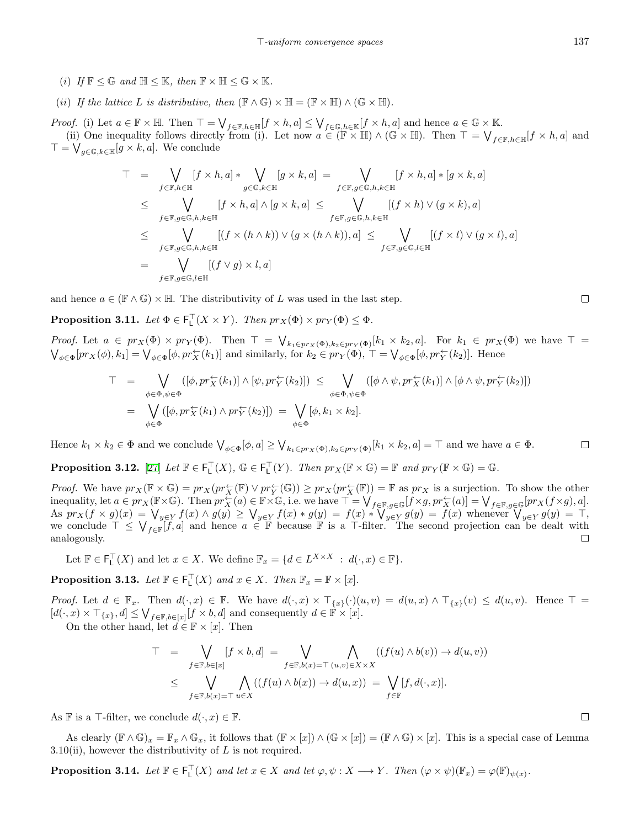- (*i*) *If*  $\mathbb{F} \leq \mathbb{G}$  *and*  $\mathbb{H} \leq \mathbb{K}$ *, then*  $\mathbb{F} \times \mathbb{H} \leq \mathbb{G} \times \mathbb{K}$ *.*
- (*ii*) *If the lattice L is distributive, then*  $(\mathbb{F} \wedge \mathbb{G}) \times \mathbb{H} = (\mathbb{F} \times \mathbb{H}) \wedge (\mathbb{G} \times \mathbb{H})$ *.*

*Proof.* (i) Let  $a \in \mathbb{F} \times \mathbb{H}$ . Then  $\top = \bigvee_{f \in \mathbb{F}, h \in \mathbb{H}} [f \times h, a] \leq \bigvee_{f \in \mathbb{G}, h \in \mathbb{K}} [f \times h, a]$  and hence  $a \in \mathbb{G} \times \mathbb{K}$ . (ii) One inequality follows directly from (i). Let now  $a \in (\mathbb{F} \times \mathbb{H}) \wedge (\mathbb{G} \times \mathbb{H})$ . Then  $\top = \bigvee_{f \in \mathbb{F}, h \in \mathbb{H}} [f \times h, a]$  and *⊤* = ∨ *g∈*G*,k∈*H [*g × k, a*]. We conclude

$$
\top = \bigvee_{f \in \mathbb{F}, h \in \mathbb{H}} [f \times h, a] * \bigvee_{g \in \mathbb{G}, k \in \mathbb{H}} [g \times k, a] = \bigvee_{f \in \mathbb{F}, g \in \mathbb{G}, h, k \in \mathbb{H}} [f \times h, a] * [g \times k, a]
$$
\n
$$
\leq \bigvee_{f \in \mathbb{F}, g \in \mathbb{G}, h, k \in \mathbb{H}} [f \times h, a] \wedge [g \times k, a] \leq \bigvee_{f \in \mathbb{F}, g \in \mathbb{G}, h, k \in \mathbb{H}} [(f \times h) \vee (g \times k), a]
$$
\n
$$
\leq \bigvee_{f \in \mathbb{F}, g \in \mathbb{G}, h, k \in \mathbb{H}} [(f \times (h \wedge k)) \vee (g \times (h \wedge k)), a] \leq \bigvee_{f \in \mathbb{F}, g \in \mathbb{G}, l \in \mathbb{H}} [(f \times l) \vee (g \times l), a]
$$
\n
$$
= \bigvee_{f \in \mathbb{F}, g \in \mathbb{G}, l \in \mathbb{H}} [(f \vee g) \times l, a]
$$

and hence  $a \in (\mathbb{F} \wedge \mathbb{G}) \times \mathbb{H}$ . The distributivity of *L* was used in the last step.

**Proposition 3.11.** *Let*  $\Phi \in \mathsf{F}_\mathsf{L}^\top(X \times Y)$ *. Then*  $pr_X(\Phi) \times pr_Y(\Phi) \leq \Phi$ *.* 

*Proof.* Let  $a \in pr_X(\Phi) \times pr_Y(\Phi)$ . Then  $\top = \bigvee_{k_1 \in pr_X(\Phi), k_2 \in pr_Y(\Phi)} [k_1 \times k_2, a]$ . For  $k_1 \in pr_X(\Phi)$  we have  $\top = \bigvee_{k \in \Phi} [pr_X(\phi), k_1] = \bigvee_{k \in \Phi} [\phi, pr_X^{\leftarrow}(k_1)]$  and similarly, for  $k_2 \in pr_Y(\Phi)$ ,  $\top = \bigvee_{k \in \Phi} [\phi, pr_X^{\leftarrow}(k_2)]$  $\phi_{\phi\in\Phi}[pr_X(\phi), k_1] = \bigvee_{\phi\in\Phi} [\phi, pr_X^{\leftarrow}(k_1)]$  and similarly, for  $k_2 \in pr_Y(\Phi)$ ,  $\top = \bigvee_{\phi\in\Phi} [\phi, pr_Y^{\leftarrow}(k_2)]$ . Hence

$$
T = \bigvee_{\phi \in \Phi, \psi \in \Phi} ([\phi, pr_X^{\leftarrow}(k_1)] \wedge [\psi, pr_Y^{\leftarrow}(k_2)]) \leq \bigvee_{\phi \in \Phi, \psi \in \Phi} ([\phi \wedge \psi, pr_X^{\leftarrow}(k_1)] \wedge [\phi \wedge \psi, pr_Y^{\leftarrow}(k_2)])
$$
  

$$
= \bigvee_{\phi \in \Phi} ([\phi, pr_X^{\leftarrow}(k_1) \wedge pr_Y^{\leftarrow}(k_2)]) = \bigvee_{\phi \in \Phi} [\phi, k_1 \times k_2].
$$

Hence  $k_1 \times k_2 \in \Phi$  and we conclude  $\bigvee_{\phi \in \Phi} [\phi, a] \geq \bigvee_{k_1 \in pr_X(\Phi), k_2 \in pr_Y(\Phi)} [k_1 \times k_2, a] = \top$  and we have  $a \in \Phi$ .  $\Box$ 

**Proposition 3.12.** [\[27](#page-16-3)] *Let*  $\mathbb{F} \in \mathsf{F}_\mathsf{L}^\top(X)$ ,  $\mathbb{G} \in \mathsf{F}_\mathsf{L}^\top(Y)$ *. Then*  $pr_X(\mathbb{F} \times \mathbb{G}) = \mathbb{F}$  and  $pr_Y(\mathbb{F} \times \mathbb{G}) = \mathbb{G}$ *.* 

*Proof.* We have  $pr_X(\mathbb{F} \times \mathbb{G}) = pr_X(pr_X^{\leftarrow}(\mathbb{F}) \vee pr_Y^{\leftarrow}(\mathbb{G})) \geq pr_X(pr_X^{\leftarrow}(\mathbb{F})) = \mathbb{F}$  as  $pr_X$  is a surjection. To show the other inequality, let  $a \in pr_X(\mathbb{F} \times \mathbb{G})$ . Then  $pr_X^{\leftarrow}(a) \in \mathbb{F} \times \mathbb{G}$ , i.e. we have  $\top = \bigvee_{f \in \mathbb{F}, g \in \mathbb{G}} [f \times g, pr_X^{\leftarrow}(a)] = \bigvee_{f \in \mathbb{F}, g \in \mathbb{G}} [pr_X(f \times g), a]$ . As  $pr_X(f \times g)(x) = \bigvee_{y \in Y} f(x) \wedge g(y) \ge \bigvee_{y \in Y} f(x) * g(y) = f(x) * \bigvee_{y \in Y} g(y) = f(x)$  whenever  $\bigvee_{y \in Y} g(y) = \top$ , we conclude  $\top \leq \bigvee_{f \in \mathbb{F}} [\widetilde{f}, a]$  and hence  $a \in \mathbb{F}$  because  $\mathbb{F}$  is a *⊤*-filter. The second projection can be dealt with analogously.  $\Box$ 

Let  $\mathbb{F} \in \mathsf{F}_\mathsf{L}^\top(X)$  and let  $x \in X$ . We define  $\mathbb{F}_x = \{d \in L^{X \times X} : d(\cdot, x) \in \mathbb{F}\}.$ 

**Proposition 3.13.** *Let*  $\mathbb{F} \in \mathsf{F}_\mathsf{L}^\top(X)$  *and*  $x \in X$ *. Then*  $\mathbb{F}_x = \mathbb{F} \times [x]$ *.* 

*Proof.* Let  $d \in \mathbb{F}_x$ . Then  $d(\cdot, x) \in \mathbb{F}$ . We have  $d(\cdot, x) \times \top_{\{x\}}(\cdot)(u, v) = d(u, x) \wedge \top_{\{x\}}(v) \leq d(u, v)$ . Hence  $\top =$  $[d(\cdot, x) \times \top_{\{x\}}, d] \leq \bigvee_{f \in \mathbb{F}, b \in [x]} [f \times b, d]$  and consequently  $d \in \mathbb{F} \times [x]$ .

On the other hand, let  $d \in \mathbb{F} \times [x]$ . Then

$$
T = \bigvee_{f \in \mathbb{F}, b \in [x]} [f \times b, d] = \bigvee_{f \in \mathbb{F}, b(x) = \top} \bigwedge_{(u,v) \in X \times X} ((f(u) \land b(v)) \to d(u, v))
$$
  

$$
\leq \bigvee_{f \in \mathbb{F}, b(x) = \top} \bigwedge_{u \in X} ((f(u) \land b(x)) \to d(u, x)) = \bigvee_{f \in \mathbb{F}} [f, d(\cdot, x)].
$$

As **F** is a  $\top$ -filter, we conclude  $d(\cdot, x) \in \mathbb{F}$ .

As clearly  $(\mathbb{F} \wedge \mathbb{G})_x = \mathbb{F}_x \wedge \mathbb{G}_x$ , it follows that  $(\mathbb{F} \times [x]) \wedge (\mathbb{G} \times [x]) = (\mathbb{F} \wedge \mathbb{G}) \times [x]$ . This is a special case of Lemma 3.10(ii), however the distributivity of *L* is not required.

**Proposition 3.14.** Let  $\mathbb{F} \in \mathsf{F}_\mathsf{L}^{\top}(X)$  and let  $x \in X$  and let  $\varphi, \psi : X \longrightarrow Y$ . Then  $(\varphi \times \psi)(\mathbb{F}_x) = \varphi(\mathbb{F})_{\psi(x)}$ .

 $\Box$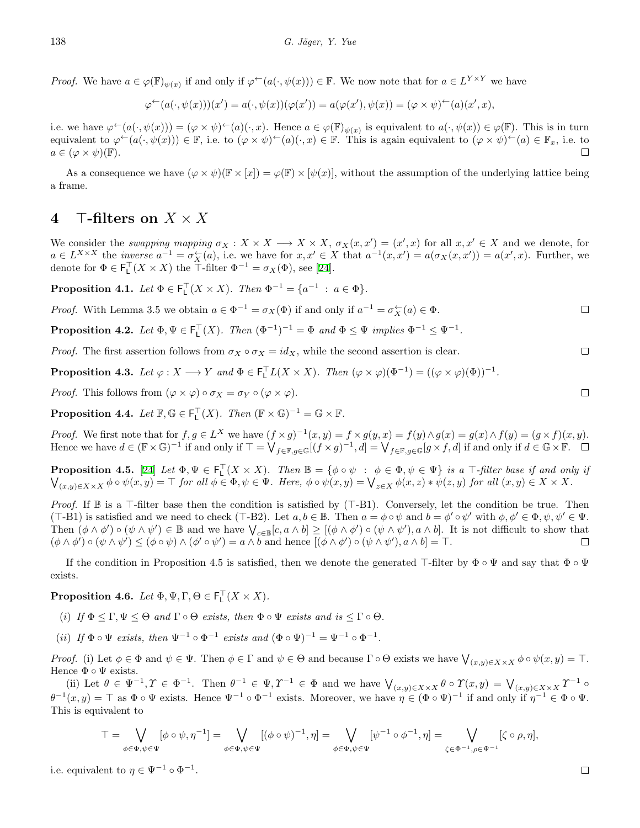*Proof.* We have  $a \in \varphi(\mathbb{F})_{\psi(x)}$  if and only if  $\varphi^{\leftarrow}(a(\cdot,\psi(x))) \in \mathbb{F}$ . We now note that for  $a \in L^{Y \times Y}$  we have

$$
\varphi^{\leftarrow}(a(\cdot,\psi(x)))(x') = a(\cdot,\psi(x))(\varphi(x')) = a(\varphi(x'),\psi(x)) = (\varphi \times \psi)^{\leftarrow}(a)(x',x),
$$

i.e. we have  $\varphi^{\leftarrow}(a(\cdot,\psi(x))) = (\varphi \times \psi)^{\leftarrow}(a)(\cdot,x)$ . Hence  $a \in \varphi(\mathbb{F})_{\psi(x)}$  is equivalent to  $a(\cdot,\psi(x)) \in \varphi(\mathbb{F})$ . This is in turn equivalent to  $\varphi^{\leftarrow}(a(\cdot,\psi(x))) \in \mathbb{F}$ , i.e. to  $(\varphi \times \psi)^{\leftarrow}(a)(\cdot,x) \in \mathbb{F}$ . This is again equivalent to  $(\varphi \times \psi)^{\leftarrow}(a) \in \mathbb{F}_x$ , i.e. to  $a \in (\varphi \times \psi)(\mathbb{F}).$  $\Box$ 

As a consequence we have  $(\varphi \times \psi)(\mathbb{F} \times [x]) = \varphi(\mathbb{F}) \times [\psi(x)]$ , without the assumption of the underlying lattice being a frame.

## **4** *⊤***-filters on** *X × X*

We consider the swapping mapping  $\sigma_X: X \times X \longrightarrow X \times X$ ,  $\sigma_X(x, x') = (x', x)$  for all  $x, x' \in X$  and we denote, for  $a \in L^{X \times X}$  the *inverse*  $a^{-1} = \sigma_X^{\leftarrow}(a)$ , i.e. we have for  $x, x' \in X$  that  $a^{-1}(x, x') = a(\sigma_X(x, x')) = a(x', x)$ . Further, we denotefor  $\Phi \in \mathsf{F}_\mathsf{L}^\top(X \times X)$  the  $\mathsf{T}\text{-filter } \Phi^{-1} = \sigma_X(\Phi)$ , see [[24\]](#page-16-5).

**Proposition 4.1.** *Let*  $\Phi \in \mathsf{F}_\mathsf{L}^\top(X \times X)$ *. Then*  $\Phi^{-1} = \{a^{-1} : a \in \Phi\}$ *.* 

*Proof.* With Lemma 3.5 we obtain  $a \in \Phi^{-1} = \sigma_X(\Phi)$  if and only if  $a^{-1} = \sigma_X^{\leftarrow}(a) \in \Phi$ .  $\Box$ 

**Proposition 4.2.** Let  $\Phi, \Psi \in \mathsf{F}_\mathsf{L}^{\top}(X)$ . Then  $(\Phi^{-1})^{-1} = \Phi$  and  $\Phi \leq \Psi$  implies  $\Phi^{-1} \leq \Psi^{-1}$ .

*Proof.* The first assertion follows from  $\sigma_X \circ \sigma_X = id_X$ , while the second assertion is clear.

**Proposition 4.3.** Let  $\varphi: X \longrightarrow Y$  and  $\Phi \in \mathsf{F}_\mathsf{L}^\top L(X \times X)$ . Then  $(\varphi \times \varphi)(\Phi^{-1}) = ((\varphi \times \varphi)(\Phi))^{-1}$ .

*Proof.* This follows from  $(\varphi \times \varphi) \circ \sigma_X = \sigma_Y \circ (\varphi \times \varphi)$ .

**Proposition 4.4.** *Let*  $\mathbb{F}, \mathbb{G} \in \mathsf{F}_\mathsf{L}^\top(X)$ *. Then*  $(\mathbb{F} \times \mathbb{G})^{-1} = \mathbb{G} \times \mathbb{F}$ *.* 

*Proof.* We first note that for  $f, g \in L^X$  we have  $(f \times g)^{-1}(x, y) = f \times g(y, x) = f(y) \wedge g(x) = g(x) \wedge f(y) = (g \times f)(x, y)$ . Hence we have  $d \in (\mathbb{F} \times \mathbb{G})^{-1}$  if and only if  $\top = \bigvee_{f \in \mathbb{F}, g \in \mathbb{G}} [(f \times g)^{-1}, d] = \bigvee_{f \in \mathbb{F}, g \in \mathbb{G}} [g \times f, d]$  if and only if  $d \in \mathbb{G} \times \mathbb{F}$ .

**Proposition 4.5.** [[24\]](#page-16-5) Let  $\Phi, \Psi \in \mathsf{F}_\mathsf{L}^\mathsf{T}(X \times X)$ . Then  $\mathbb{B} = \{\phi \circ \psi : \phi \in \Phi, \psi \in \Psi\}$  is a  $\mathsf{T}\text{-filter base if and only if}$  $\bigvee_{(x,y)\in X\times X}\phi\circ\psi(x,y)=\top$  for all  $\phi\in\Phi, \psi\in\Psi$ . Here,  $\phi\circ\psi(x,y)=\bigvee_{z\in X}\phi(x,z)*\psi(z,y)$  for all  $(x,y)\in X\times X$ .

*Proof.* If B is a *⊤*-filter base then the condition is satisfied by (*⊤*-B1). Conversely, let the condition be true. Then (T-B1) is satisfied and we need to check (T-B2). Let  $a, b \in \mathbb{B}$ . Then  $a = \phi \circ \psi$  and  $b = \phi' \circ \psi'$  with  $\phi, \phi' \in \Phi, \psi, \psi' \in \Psi$ . Then  $(\phi \wedge \phi') \circ (\psi \wedge \psi') \in \mathbb{B}$  and we have  $\bigvee_{c \in \mathbb{B}} [c, a \wedge b] \geq [(\phi \wedge \phi') \circ (\psi \wedge \psi'), a \wedge b]$ . It is not difficult to show that  $(\phi \wedge \phi') \circ (\psi \wedge \psi') \leq (\phi \circ \psi) \wedge (\phi' \circ \psi') = a \wedge b$  and hence  $[(\phi \wedge \phi') \circ (\psi \wedge \psi'), a \wedge b] = \top$ .  $\Box$ 

If the condition in Proposition 4.5 is satisfied, then we denote the generated *⊤*-filter by Φ *◦* Ψ and say that Φ *◦* Ψ exists.

**Proposition 4.6.** *Let*  $\Phi, \Psi, \Gamma, \Theta \in \mathsf{F}_\mathsf{L}^\top(X \times X)$ *.* 

- (*i*) *If*  $\Phi \leq \Gamma, \Psi \leq \Theta$  *and*  $\Gamma \circ \Theta$  *exists, then*  $\Phi \circ \Psi$  *exists and is*  $\leq \Gamma \circ \Theta$ *.*
- (*ii*) If  $\Phi \circ \Psi$  exists, then  $\Psi^{-1} \circ \Phi^{-1}$  exists and  $(\Phi \circ \Psi)^{-1} = \Psi^{-1} \circ \Phi^{-1}$ .

*Proof.* (i) Let  $\phi \in \Phi$  and  $\psi \in \Psi$ . Then  $\phi \in \Gamma$  and  $\psi \in \Theta$  and because  $\Gamma \circ \Theta$  exists we have  $\bigvee_{(x,y)\in X\times X} \phi \circ \psi(x,y) = \top$ . Hence **Φ** ∘ Ψ exists.

(ii) Let  $\theta \in \Psi^{-1}, \Upsilon \in \Phi^{-1}$ . Then  $\theta^{-1} \in \Psi, \Upsilon^{-1} \in \Phi$  and we have  $\bigvee_{(x,y)\in X\times X} \theta \circ \Upsilon(x,y) = \bigvee_{(x,y)\in X\times X} \Upsilon^{-1}$  $\theta^{-1}(x,y) = \top$  as  $\Phi \circ \Psi$  exists. Hence  $\Psi^{-1} \circ \Phi^{-1}$  exists. Moreover, we have  $\eta \in (\Phi \circ \Psi)^{-1}$  if and only if  $\eta^{-1} \in \Phi \circ \Psi$ . This is equivalent to

$$
\top = \bigvee_{\phi \in \Phi, \psi \in \Psi} [\phi \circ \psi, \eta^{-1}] = \bigvee_{\phi \in \Phi, \psi \in \Psi} [(\phi \circ \psi)^{-1}, \eta] = \bigvee_{\phi \in \Phi, \psi \in \Psi} [\psi^{-1} \circ \phi^{-1}, \eta] = \bigvee_{\zeta \in \Phi^{-1}, \rho \in \Psi^{-1}} [\zeta \circ \rho, \eta],
$$

i.e. equivalent to  $\eta \in \Psi^{-1} \circ \Phi^{-1}$ .

 $\Box$ 

 $\Box$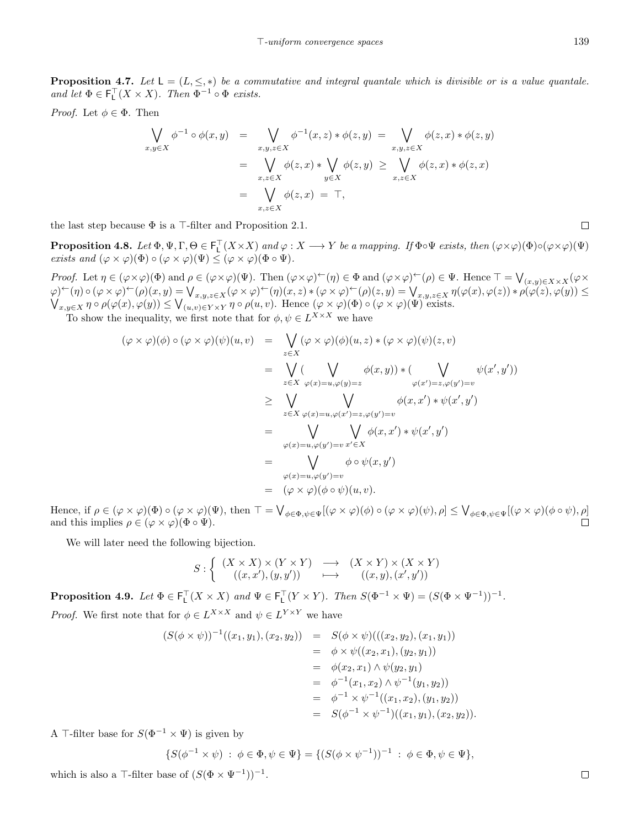**Proposition 4.7.** Let  $L = (L, \leq, *)$  be a commutative and integral quantale which is divisible or is a value quantale. *and let*  $\Phi \in \mathsf{F}_\mathsf{L}^\top(X \times X)$ *. Then*  $\Phi^{-1} \circ \Phi$  *exists.* 

*Proof.* Let  $\phi \in \Phi$ . Then

$$
\begin{aligned}\n\bigvee_{x,y\in X} \phi^{-1} \circ \phi(x,y) &= \bigvee_{x,y,z\in X} \phi^{-1}(x,z) * \phi(z,y) = \bigvee_{x,y,z\in X} \phi(z,x) * \phi(z,y) \\
&= \bigvee_{x,z\in X} \phi(z,x) * \bigvee_{y\in X} \phi(z,y) \ge \bigvee_{x,z\in X} \phi(z,x) * \phi(z,x) \\
&= \bigvee_{x,z\in X} \phi(z,x) = \top,\n\end{aligned}
$$

the last step because Φ is a *⊤*-filter and Proposition 2.1.

**Proposition 4.8.** Let  $\Phi, \Psi, \Gamma, \Theta \in \mathsf{F}_\mathsf{L}^\top(X \times X)$  and  $\varphi : X \longrightarrow Y$  be a mapping. If  $\Phi \circ \Psi$  exists, then  $(\varphi \times \varphi)(\Phi) \circ (\varphi \times \varphi)(\Psi)$ *exists and*  $(\varphi \times \varphi)(\Phi) \circ (\varphi \times \varphi)(\Psi) \leq (\varphi \times \varphi)(\Phi \circ \Psi).$ 

Proof. Let  $\eta \in (\varphi \times \varphi)(\Phi)$  and  $\rho \in (\varphi \times \varphi)(\Psi)$ . Then  $(\varphi \times \varphi)^{\leftarrow}(\eta) \in \Phi$  and  $(\varphi \times \varphi)^{\leftarrow}(\rho) \in \Psi$ . Hence  $\top = \bigvee_{(x,y) \in X \times X} (\varphi \times \varphi)(\psi)$  $\varphi(\varphi)(\eta) \circ (\varphi \times \varphi)^{\leftarrow}(\rho)(x, y) = \bigvee_{x, y, z \in X} (\varphi \times \varphi)^{\leftarrow}(\eta)(x, z) * (\varphi \times \varphi)^{\leftarrow}(\rho)(z, y) = \bigvee_{x, y, z \in X} \eta(\varphi(x), \varphi(z)) * \rho(\varphi(z), \varphi(y)) \le \bigvee_{x, y \in X} \eta \circ \rho(\varphi(x), \varphi(y)) \le \bigvee_{(u, v) \in Y \times Y} \eta \circ \rho(u, v).$  Hence  $(\varphi \times \varphi)(\Phi) \circ (\varphi \times \varphi)(\$ 

To show the inequality, we first note that for  $\phi, \psi \in L^{X \times X}$  we have

$$
(\varphi \times \varphi)(\phi) \circ (\varphi \times \varphi)(\psi)(u, v) = \bigvee_{z \in X} (\varphi \times \varphi)(\phi)(u, z) * (\varphi \times \varphi)(\psi)(z, v)
$$
  
\n
$$
= \bigvee_{z \in X} (\bigvee_{\varphi(x) = u, \varphi(y) = z} \phi(x, y)) * (\bigvee_{\varphi(x') = z, \varphi(y') = v} \psi(x', y'))
$$
  
\n
$$
\geq \bigvee_{z \in X} \bigvee_{\varphi(x) = u, \varphi(x') = z, \varphi(y') = v} \phi(x, x') * \psi(x', y')
$$
  
\n
$$
= \bigvee_{\varphi(x) = u, \varphi(y') = v} \bigvee_{x' \in X} \phi(x, x') * \psi(x', y')
$$
  
\n
$$
= \bigvee_{\varphi(x) = u, \varphi(y') = v} \phi \circ \psi(x, y')
$$
  
\n
$$
= (\varphi \times \varphi)(\phi \circ \psi)(u, v).
$$

Hence, if  $\rho \in (\varphi \times \varphi)(\Phi) \circ (\varphi \times \varphi)(\Psi)$ , then  $\top = \bigvee_{\phi \in \Phi, \psi \in \Psi} [(\varphi \times \varphi)(\phi) \circ (\varphi \times \varphi)(\psi), \rho] \leq \bigvee_{\phi \in \Phi, \psi \in \Psi} [(\varphi \times \varphi)(\phi \circ \psi), \rho]$ and this implies  $\rho \in (\varphi \times \varphi)(\Phi \circ \Psi)$ .

We will later need the following bijection.

$$
S: \left\{ \begin{array}{ccc} (X \times X) \times (Y \times Y) & \longrightarrow & (X \times Y) \times (X \times Y) \\ ((x,x'),(y,y')) & \longmapsto & ((x,y),(x',y')) \end{array} \right.
$$

**Proposition 4.9.** Let  $\Phi \in \mathsf{F}_\mathsf{L}^\top(X \times X)$  and  $\Psi \in \mathsf{F}_\mathsf{L}^\top(Y \times Y)$ . Then  $S(\Phi^{-1} \times \Psi) = (S(\Phi \times \Psi^{-1}))^{-1}$ . *Proof.* We first note that for  $\phi \in L^{X \times X}$  and  $\psi \in L^{Y \times Y}$  we have

$$
(S(\phi \times \psi))^{-1}((x_1, y_1), (x_2, y_2)) = S(\phi \times \psi)(( (x_2, y_2), (x_1, y_1))
$$
  
\n
$$
= \phi \times \psi((x_2, x_1), (y_2, y_1))
$$
  
\n
$$
= \phi(x_2, x_1) \wedge \psi(y_2, y_1)
$$
  
\n
$$
= \phi^{-1}(x_1, x_2) \wedge \psi^{-1}(y_1, y_2))
$$
  
\n
$$
= \phi^{-1} \times \psi^{-1}((x_1, x_2), (y_1, y_2))
$$
  
\n
$$
= S(\phi^{-1} \times \psi^{-1})((x_1, y_1), (x_2, y_2)).
$$

A <sup>*⊤*-filter base for  $S(\Phi^{-1} \times \Psi)$  is given by</sup>

 $\{S(\phi^{-1} \times \psi) : \phi \in \Phi, \psi \in \Psi\} = \{(S(\phi \times \psi^{-1}))^{-1} : \phi \in \Phi, \psi \in \Psi\},\$ 

which is also a  $\top$ -filter base of  $(S(\Phi \times \Psi^{-1}))^{-1}$ .

 $\Box$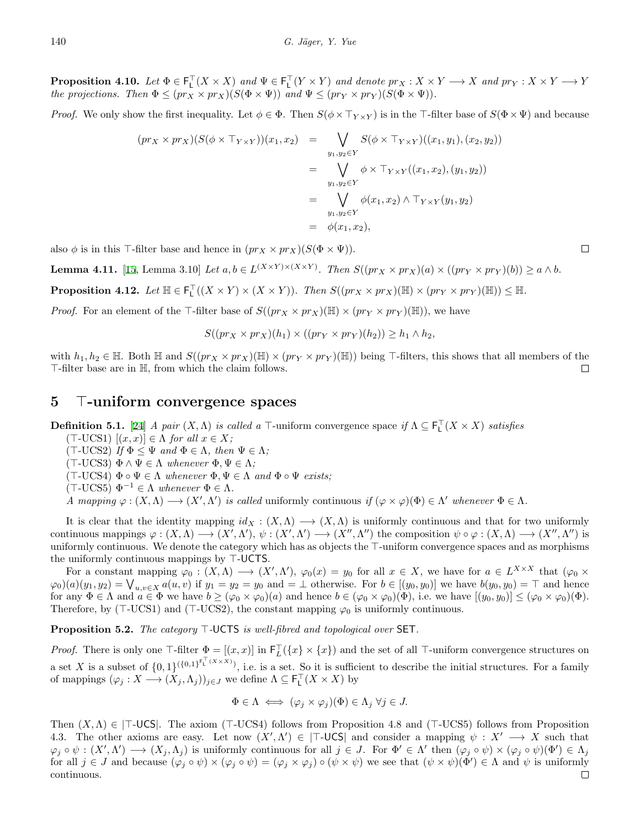**Proposition 4.10.** Let  $\Phi \in \mathsf{F}_\mathsf{L}^\top(X \times X)$  and  $\Psi \in \mathsf{F}_\mathsf{L}^\top(Y \times Y)$  and denote  $pr_X : X \times Y \longrightarrow X$  and  $pr_Y : X \times Y \longrightarrow Y$ *the projections. Then*  $\Phi \leq (pr_X \times pr_X)(S(\Phi \times \Psi))$  *and*  $\Psi \leq (pr_Y \times pr_Y)(S(\Phi \times \Psi))$ .

*Proof.* We only show the first inequality. Let  $\phi \in \Phi$ . Then  $S(\phi \times \top_{Y \times Y})$  is in the  $\top$ -filter base of  $S(\Phi \times \Psi)$  and because

$$
(pr_X \times pr_X)(S(\phi \times \top_{Y \times Y}))(x_1, x_2) = \bigvee_{y_1, y_2 \in Y} S(\phi \times \top_{Y \times Y})((x_1, y_1), (x_2, y_2))
$$
  

$$
= \bigvee_{y_1, y_2 \in Y} \phi \times \top_{Y \times Y}((x_1, x_2), (y_1, y_2))
$$
  

$$
= \bigvee_{y_1, y_2 \in Y} \phi(x_1, x_2) \wedge \top_{Y \times Y}(y_1, y_2)
$$
  

$$
= \phi(x_1, x_2),
$$

also  $\phi$  is in this *⊤*-filter base and hence in  $(pr_X \times pr_X)(S(\Phi \times \Psi))$ .

**Lemma 4.11.** [\[15](#page-15-1), Lemma 3.10] Let  $a, b \in L^{(X \times Y) \times (X \times Y)}$ . Then  $S((pr_X \times pr_X)(a) \times ((pr_Y \times pr_Y)(b)) \ge a \wedge b$ .

**Proposition 4.12.** Let  $\mathbb{H} \in \mathsf{F}_L^{\top}((X \times Y) \times (X \times Y))$ . Then  $S((pr_X \times pr_X)(\mathbb{H}) \times (pr_Y \times pr_Y)(\mathbb{H})) \leq \mathbb{H}$ .

*Proof.* For an element of the *⊤*-filter base of  $S((pr_X \times pr_X)(\mathbb{H}) \times (pr_Y \times pr_Y)(\mathbb{H}))$ , we have

$$
S((pr_X \times pr_X)(h_1) \times ((pr_Y \times pr_Y)(h_2)) \ge h_1 \wedge h_2,
$$

with  $h_1, h_2 \in \mathbb{H}$ . Both  $\mathbb{H}$  and  $S((pr_X \times pr_X)(\mathbb{H}) \times (pr_Y \times pr_Y)(\mathbb{H}))$  being T-filters, this shows that all members of the *⊤*-filter base are in H, from which the claim follows.  $\Box$ 

#### **5** *⊤***-uniform convergence spaces**

**Definition 5.1.** [\[24](#page-16-5)] *A pair*  $(X, \Lambda)$  *is called a*  $\top$ -uniform convergence space *if*  $\Lambda \subseteq \mathsf{F}_\mathsf{L}^\top (X \times X)$  *satisfies* 

 $(T$ -UCS1)  $[(x, x)] \in \Lambda$  *for all*  $x \in X$ *;* 

(*⊤*-UCS2) *If* Φ *≤* Ψ *and* Φ *∈* Λ*, then* Ψ *∈* Λ*;*

(*⊤*-UCS3) Φ *∧* Ψ *∈* Λ *whenever* Φ*,* Ψ *∈* Λ*;*

(*⊤*-UCS4) Φ *◦* Ψ *∈* Λ *whenever* Φ*,* Ψ *∈* Λ *and* Φ *◦* Ψ *exists;*

(*⊤*-UCS5) Φ*<sup>−</sup>*<sup>1</sup> *∈* Λ *whenever* Φ *∈* Λ*.*

A mapping  $\varphi : (X, \Lambda) \longrightarrow (X', \Lambda')$  is called uniformly continuous if  $(\varphi \times \varphi)(\Phi) \in \Lambda'$  whenever  $\Phi \in \Lambda$ .

It is clear that the identity mapping  $id_X : (X, \Lambda) \longrightarrow (X, \Lambda)$  is uniformly continuous and that for two uniformly continuous mappings  $\varphi: (X, \Lambda) \longrightarrow (X', \Lambda'), \psi: (X', \Lambda') \longrightarrow (X'', \Lambda'')$  the composition  $\psi \circ \varphi: (X, \Lambda) \longrightarrow (X'', \Lambda'')$  is uniformly continuous. We denote the category which has as objects the *⊤*-uniform convergence spaces and as morphisms the uniformly continuous mappings by *⊤*-UCTS.

For a constant mapping  $\varphi_0: (X, \Lambda) \longrightarrow (X', \Lambda'), \varphi_0(x) = y_0$  for all  $x \in X$ , we have for  $a \in L^{X \times X}$  that  $(\varphi_0 \times$  $\varphi_0(a)(y_1, y_2) = \bigvee_{u,v \in X} a(u,v)$  if  $y_1 = y_2 = y_0$  and  $= \perp$  otherwise. For  $b \in [(y_0, y_0)]$  we have  $b(y_0, y_0) = \perp$  and hence for any  $\Phi \in \Lambda$  and  $a \in \Phi$  we have  $b \geq (\varphi_0 \times \varphi_0)(a)$  and hence  $b \in (\varphi_0 \times \varphi_0)(\Phi)$ , i.e. we have  $[(y_0, y_0)] \leq (\varphi_0 \times \varphi_0)(\Phi)$ . Therefore, by (*⊤*-UCS1) and (*⊤*-UCS2), the constant mapping *φ*<sup>0</sup> is uniformly continuous.

**Proposition 5.2.** *The category ⊤-*UCTS *is well-fibred and topological over* SET*.*

*Proof.* There is only one  $\top$ -filter  $\Phi = [(x, x)]$  in  $\mathsf{F}_L^{\top}(\{x\} \times \{x\})$  and the set of all  $\top$ -uniform convergence structures on a set *X* is a subset of  $\{0,1\}^{(\{0,1\}^{F_L^{\perp}(X\times X)})}$ , i.e. is a set. So it is sufficient to describe the initial structures. For a family of mappings  $(\varphi_j : X \longrightarrow (X_j, \Lambda_j))_{j \in J}$  we define  $\Lambda \subseteq \mathsf{F}_\mathsf{L}^\top(X \times X)$  by

$$
\Phi \in \Lambda \iff (\varphi_j \times \varphi_j)(\Phi) \in \Lambda_j \,\forall j \in J.
$$

Then (*X,*Λ) *∈ |⊤*-UCS*|*. The axiom (*⊤*-UCS4) follows from Proposition 4.8 and (*⊤*-UCS5) follows from Proposition 4.3. The other axioms are easy. Let now  $(X', \Lambda') \in |\mathsf{T}-\mathsf{UCS}|$  and consider a mapping  $\psi : X' \longrightarrow X$  such that  $\varphi_j \circ \psi : (X', \Lambda') \longrightarrow (X_j, \Lambda_j)$  is uniformly continuous for all  $j \in J$ . For  $\Phi' \in \Lambda'$  then  $(\varphi_j \circ \psi) \times (\varphi_j \circ \psi)(\Phi') \in \Lambda_j$ for all  $j \in J$  and because  $(\varphi_j \circ \psi) \times (\varphi_j \circ \psi) = (\varphi_j \times \varphi_j) \circ (\psi \times \psi)$  we see that  $(\psi \times \psi)(\Phi') \in \Lambda$  and  $\psi$  is uniformly continuous. $\Box$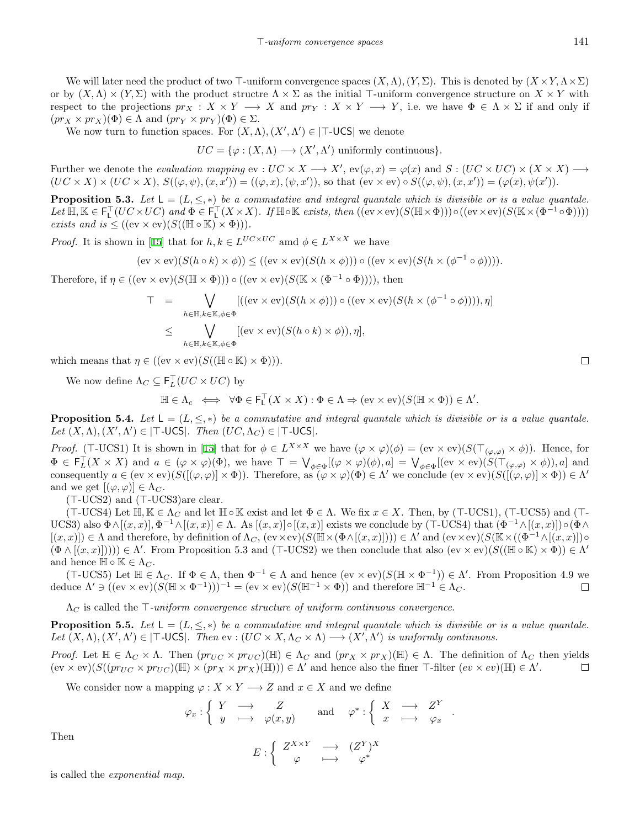We will later need the product of two  $\top$ -uniform convergence spaces  $(X, \Lambda), (Y, \Sigma)$ . This is denoted by  $(X \times Y, \Lambda \times \Sigma)$ or by  $(X, \Lambda) \times (Y, \Sigma)$  with the product structre  $\Lambda \times \Sigma$  as the initial  $\top$ -uniform convergence structure on  $X \times Y$  with respect to the projections  $pr_X: X \times Y \longrightarrow X$  and  $pr_Y: X \times Y \longrightarrow Y$ , i.e. we have  $\Phi \in \Lambda \times \Sigma$  if and only if  $(pr_X \times pr_X)(\Phi) \in \Lambda$  and  $(pr_Y \times pr_Y)(\Phi) \in \Sigma$ .

We now turn to function spaces. For  $(X, \Lambda), (X', \Lambda') \in |\mathsf{T}-\mathsf{UCS}|$  we denote

 $UC = {\varphi : (X, \Lambda) \longrightarrow (X', \Lambda')}$  uniformly continuous}*.* 

Further we denote the *evaluation mapping*  $ev : UC \times X \longrightarrow X'$ ,  $ev(\varphi, x) = \varphi(x)$  and  $S : (UC \times UC) \times (X \times X) \longrightarrow$  $(UC \times X) \times (UC \times X), S((\varphi, \psi), (x, x')) = ((\varphi, x), (\psi, x')),$  so that  $(ev \times ev) \circ S((\varphi, \psi), (x, x')) = (\varphi(x), \psi(x')).$ 

**Proposition 5.3.** Let  $L = (L, \leq, *)$  be a commutative and integral quantale which is divisible or is a value quantale. Let  $\mathbb{H}, \mathbb{K} \in \mathsf{F}_\mathsf{L}^\top (UC \times UC)$  and  $\Phi \in \mathsf{F}_\mathsf{L}^\top (X \times X)$ . If  $\mathbb{H} \circ \mathbb{K}$  exists, then  $((ev \times ev)(S(\mathbb{H} \times \Phi))) \circ ((ev \times ev)(S(\mathbb{K} \times (\Phi^{-1} \circ \Phi))))$ *exists and is*  $\leq ((ev \times ev)(S((\mathbb{H} \circ \mathbb{K}) \times \Phi))).$ 

*Proof.*It is shown in [[15\]](#page-15-1) that for  $h, k \in L^{UC \times UC}$  amd  $\phi \in L^{X \times X}$  we have

$$
(ev \times ev)(S(h \circ k) \times \phi)) \le ((ev \times ev)(S(h \times \phi))) \circ ((ev \times ev)(S(h \times (\phi^{-1} \circ \phi))))
$$
.

Therefore, if  $\eta \in ((ev \times ev)(S(\mathbb{H} \times \Phi))) \circ ((ev \times ev)(S(\mathbb{K} \times (\Phi^{-1} \circ \Phi))))$ , then

$$
T = \bigvee_{h \in \mathbb{H}, k \in \mathbb{K}, \phi \in \Phi} [((\mathrm{ev} \times \mathrm{ev})(S(h \times \phi))) \circ ((\mathrm{ev} \times \mathrm{ev})(S(h \times (\phi^{-1} \circ \phi)))) , \eta]
$$
  

$$
\leq \bigvee_{h \in \mathbb{H}, k \in \mathbb{K}, \phi \in \Phi} [(\mathrm{ev} \times \mathrm{ev})(S(h \circ k) \times \phi)), \eta],
$$

which means that  $\eta \in ((ev \times ev)(S((\mathbb{H} \circ \mathbb{K}) \times \Phi))).$ 

We now define  $\Lambda_C \subseteq \mathsf{F}_L^{\top}(UC \times UC)$  by

$$
\mathbb{H} \in \Lambda_c \iff \forall \Phi \in \mathsf{F}_\mathsf{L}^\top(X \times X) : \Phi \in \Lambda \Rightarrow (\text{ev} \times \text{ev})(S(\mathbb{H} \times \Phi)) \in \Lambda'.
$$

**Proposition 5.4.** Let  $L = (L, \leq, *)$  be a commutative and integral quantale which is divisible or is a value quantale. *Let*  $(X, \Lambda), (X', \Lambda') \in |\top \text{-UCS}|$ *. Then*  $(UC, \Lambda_C) \in |\top \text{-UCS}|$ *.* 

*Proof.*(T-UCS1) It is shown in [[15\]](#page-15-1) that for  $\phi \in L^{X \times X}$  we have  $(\varphi \times \varphi)(\phi) = (\text{ev} \times \text{ev})(S(\top_{(\varphi,\varphi)} \times \phi))$ . Hence, for  $\Phi \in \mathsf{F}_L^{\top}(X \times X)$  and  $a \in (\varphi \times \varphi)(\Phi)$ , we have  $\top = \bigvee_{\phi \in \Phi} [(\varphi \times \varphi)(\phi), a] = \bigvee_{\phi \in \Phi} [(\mathrm{ev} \times \mathrm{ev})(S(\top_{(\varphi, \varphi)} \times \phi)), a]$  and consequently  $a \in (ev \times ev)(S([(\varphi, \varphi)] \times \Phi))$ . Therefore, as  $(\varphi \times \varphi)(\Phi) \in \Lambda'$  we conclude  $(ev \times ev)(S([(\varphi, \varphi)] \times \Phi)) \in \Lambda'$ and we get  $[(\varphi, \varphi)] \in \Lambda_C$ .

(*⊤*-UCS2) and (*⊤*-UCS3)are clear.

 $(T-\text{UCS4})$  Let  $\mathbb{H}, \mathbb{K} \in \Lambda_C$  and let  $\mathbb{H} \circ \mathbb{K}$  exist and let  $\Phi \in \Lambda$ . We fix  $x \in X$ . Then, by  $(T-\text{UCS1})$ ,  $(T-\text{UCS5})$  and  $(T-\text{UCS1})$ UCS3) also  $\Phi \wedge [(x,x)], \Phi^{-1} \wedge [(x,x)] \in \Lambda$ . As  $[(x,x)] \circ [(x,x)]$  exists we conclude by (T-UCS4) that  $(\Phi^{-1} \wedge [(x,x)]) \circ (\Phi \wedge$  $[(x,x)] \in \Lambda$  and therefore, by definition of  $\Lambda_C$ ,  $(\text{ev} \times \text{ev})(S(\mathbb{H} \times (\Phi \wedge [(x,x)]))) \in \Lambda'$  and  $(\text{ev} \times \text{ev})(S(\mathbb{K} \times ((\Phi^{-1} \wedge [(x,x)]) \circ$  $(\Phi \wedge [(x,x)])))$   $\in \Lambda'$ . From Proposition 5.3 and (*⊤*-UCS2) we then conclude that also  $(\mathrm{ev} \times \mathrm{ev})(S((\mathbb{H} \circ \mathbb{K}) \times \Phi)) \in \Lambda'$ and hence  $\mathbb{H} \circ \mathbb{K} \in \Lambda_C$ .

 $(T$ -UCS5) Let  $\mathbb{H} \in \Lambda_C$ . If  $\Phi \in \Lambda$ , then  $\Phi^{-1} \in \Lambda$  and hence  $(\text{ev} \times \text{ev})(S(\mathbb{H} \times \Phi^{-1})) \in \Lambda'$ . From Proposition 4.9 we deduce  $\Lambda' \ni ((ev \times ev)(S(\mathbb{H} \times \Phi^{-1})))^{-1} = (ev \times ev)(S(\mathbb{H}^{-1} \times \Phi))$  and therefore  $\mathbb{H}^{-1} \in \Lambda_C$ .  $\Box$ 

Λ*<sup>C</sup>* is called the *⊤-uniform convergence structure of uniform continuous convergence*.

**Proposition 5.5.** Let  $L = (L, \leq, *)$  be a commutative and integral quantale which is divisible or is a value quantale. Let  $(X, \Lambda), (X', \Lambda') \in |\mathsf{T}-\mathsf{UCS}|$ . Then  $ev : (UC \times X, \Lambda_C \times \Lambda) \longrightarrow (X', \Lambda')$  is uniformly continuous.

*Proof.* Let  $\mathbb{H} \in \Lambda_C \times \Lambda$ . Then  $(pr_{UC} \times pr_{UC})(\mathbb{H}) \in \Lambda_C$  and  $(pr_X \times pr_X)(\mathbb{H}) \in \Lambda$ . The definition of  $\Lambda_C$  then yields  $(ev \times ev)(S((pr_{UC} \times pr_{UC})(\mathbb{H}) \times (pr_X \times pr_X)(\mathbb{H}))) \in \Lambda'$  and hence also the finer T-filter  $(ev \times ev)(\mathbb{H}) \in \Lambda'.$  $\Box$ 

*Y*

We consider now a mapping  $\varphi: X \times Y \longrightarrow Z$  and  $x \in X$  and we define

$$
\varphi_x : \left\{ \begin{array}{ccc} Y & \longrightarrow & Z \\ y & \longmapsto & \varphi(x,y) \end{array} \right. \quad \text{and} \quad \varphi^* : \left\{ \begin{array}{ccc} X & \longrightarrow & Z^Y \\ x & \longmapsto & \varphi_x \end{array} \right. .
$$

$$
E : \left\{ \begin{array}{ccc} Z^{X \times Y} & \longrightarrow & (Z^Y)^X \\ \varphi & \longmapsto & \varphi^* \end{array} \right.
$$

Then

$$
\mathcal{C} : \left\{ \begin{array}{ccc} Z^{\mathbf{A} \times \mathbf{r}} & \longrightarrow & (Z^{\mathbf{r}}) \\ \varphi & \longmapsto & \varphi^* \end{array} \right.
$$

is called the *exponential map*.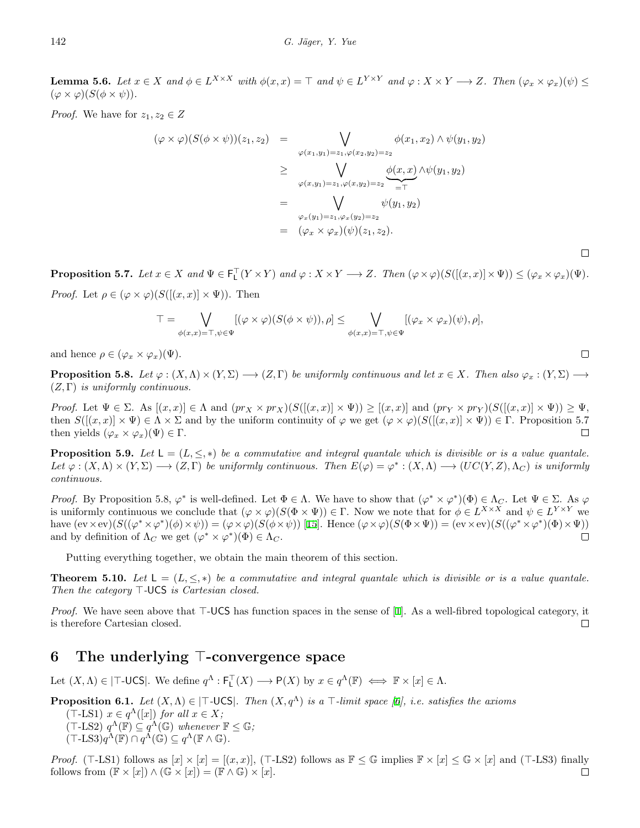**Lemma 5.6.** Let  $x \in X$  and  $\phi \in L^{X \times X}$  with  $\phi(x, x) = \top$  and  $\psi \in L^{Y \times Y}$  and  $\varphi : X \times Y \longrightarrow Z$ . Then  $(\varphi_x \times \varphi_x)(\psi) \leq$  $(\varphi \times \varphi)(S(\phi \times \psi)).$ 

*Proof.* We have for  $z_1, z_2 \in Z$ 

$$
(\varphi \times \varphi)(S(\phi \times \psi))(z_1, z_2) = \bigvee_{\varphi(x_1, y_1) = z_1, \varphi(x_2, y_2) = z_2} \phi(x_1, x_2) \wedge \psi(y_1, y_2)
$$
  
\n
$$
\geq \bigvee_{\varphi(x, y_1) = z_1, \varphi(x, y_2) = z_2} \underbrace{\phi(x, x)}_{= \top} \wedge \psi(y_1, y_2)
$$
  
\n
$$
= \bigvee_{\varphi_x(y_1) = z_1, \varphi_x(y_2) = z_2} \psi(y_1, y_2)
$$
  
\n
$$
= (\varphi_x \times \varphi_x)(\psi)(z_1, z_2).
$$

**Proposition 5.7.** Let  $x \in X$  and  $\Psi \in \mathsf{F}_\mathsf{L}^\top(Y \times Y)$  and  $\varphi : X \times Y \longrightarrow Z$ . Then  $(\varphi \times \varphi)(S([(x,x)] \times \Psi)) \leq (\varphi_x \times \varphi_x)(\Psi)$ .

*Proof.* Let  $\rho \in (\varphi \times \varphi)(S([ (x, x) ] \times \Psi))$ . Then

$$
T = \bigvee_{\phi(x,x) = \top, \psi \in \Psi} [(\varphi \times \varphi)(S(\phi \times \psi)), \rho] \leq \bigvee_{\phi(x,x) = \top, \psi \in \Psi} [(\varphi_x \times \varphi_x)(\psi), \rho],
$$

and hence  $\rho \in (\varphi_x \times \varphi_x)(\Psi)$ .

**Proposition 5.8.** Let  $\varphi: (X, \Lambda) \times (Y, \Sigma) \longrightarrow (Z, \Gamma)$  be uniformly continuous and let  $x \in X$ . Then also  $\varphi_x: (Y, \Sigma) \longrightarrow$ (*Z,* Γ) *is uniformly continuous.*

*Proof.* Let  $\Psi \in \Sigma$ . As  $[(x, x)] \in \Lambda$  and  $(pr_X \times pr_X)(S([(x, x)] \times \Psi)) \geq [(x, x)]$  and  $(pr_Y \times pr_Y)(S([(x, x)] \times \Psi)) \geq \Psi$ , then  $S([x,x]) \times \Psi \in \Lambda \times \Sigma$  and by the uniform continuity of  $\varphi$  we get  $(\varphi \times \varphi)(S([x,x]) \times \Psi) \in \Gamma$ . Proposition 5.7 then yields  $(\varphi_x \times \varphi_x)(\Psi) \in \Gamma$ .  $\Box$ 

**Proposition 5.9.** Let  $L = (L, \leq, *)$  be a commutative and integral quantale which is divisible or is a value quantale. Let  $\varphi: (X, \Lambda) \times (Y, \Sigma) \longrightarrow (Z, \Gamma)$  be uniformly continuous. Then  $E(\varphi) = \varphi^*: (X, \Lambda) \longrightarrow (UC(Y, Z), \Lambda_C)$  is uniformly *continuous.*

*Proof.* By Proposition 5.8,  $\varphi^*$  is well-defined. Let  $\Phi \in \Lambda$ . We have to show that  $(\varphi^* \times \varphi^*)(\Phi) \in \Lambda_C$ . Let  $\Psi \in \Sigma$ . As  $\varphi$ is uniformly continuous we conclude that  $(\varphi \times \varphi)(S(\Phi \times \Psi)) \in \Gamma$ . Now we note that for  $\phi \in L^{X \times X}$  and  $\psi \in L^{Y \times Y}$  we have  $(\text{ev} \times \text{ev})(S((\varphi^* \times \varphi^*)(\phi) \times \psi)) = (\varphi \times \varphi)(S(\phi \times \psi))$  [\[15](#page-15-1)]. Hence  $(\varphi \times \varphi)(S(\Phi \times \Psi)) = (\text{ev} \times \text{ev})(S((\varphi^* \times \varphi^*)(\Phi) \times \Psi))$ and by definition of  $\Lambda_C$  we get  $(\varphi^* \times \varphi^*)(\Phi) \in \Lambda_C$ .  $\Box$ 

Putting everything together, we obtain the main theorem of this section.

**Theorem 5.10.** Let  $L = (L, \leq, *)$  be a commutative and integral quantale which is divisible or is a value quantale. *Then the category ⊤-*UCS *is Cartesian closed.*

*Proof.*We have seen above that *⊤*-UCS has function spaces in the sense of [[1\]](#page-15-12). As a well-fibred topological category, it is therefore Cartesian closed.  $\Box$ 

## **6 The underlying** *⊤***-convergence space**

Let  $(X, \Lambda) \in |\mathsf{T}-\mathsf{UCS}|$ . We define  $q^{\Lambda} : \mathsf{F}_\mathsf{L}^{\mathsf{T}}(X) \longrightarrow \mathsf{P}(X)$  by  $x \in q^{\Lambda}(\mathbb{F}) \iff \mathbb{F} \times [x] \in \Lambda$ .

**Proposition 6.1.** Let 
$$
(X, \Lambda) \in |\top\text{-UCS}|
$$
. Then  $(X, q^{\Lambda})$  is a  $\top$ -limit space [6], i.e. satisfies the axioms  
( $\top$ -LS1)  $x \in q^{\Lambda}([x])$  for all  $x \in X$ ;  
( $\top$ -LS2)  $q^{\Lambda}(\mathbb{F}) \subseteq q^{\Lambda}(\mathbb{G})$  whenever  $\mathbb{F} \leq \mathbb{G}$ ;  
( $\top$ -LS3) $q^{\Lambda}(\mathbb{F}) \cap q^{\Lambda}(\mathbb{G}) \subseteq q^{\Lambda}(\mathbb{F} \wedge \mathbb{G})$ .

*Proof.* (*⊤*-LS1) follows as  $[x] \times [x] = [(x, x)]$ , (*⊤*-LS2) follows as  $\mathbb{F} \leq \mathbb{G}$  implies  $\mathbb{F} \times [x] \leq \mathbb{G} \times [x]$  and (*⊤*-LS3) finally follows from  $(\mathbb{F} \times [x]) \wedge (\mathbb{G} \times [x]) = (\mathbb{F} \wedge \mathbb{G}) \times [x].$  $\Box$ 

 $\Box$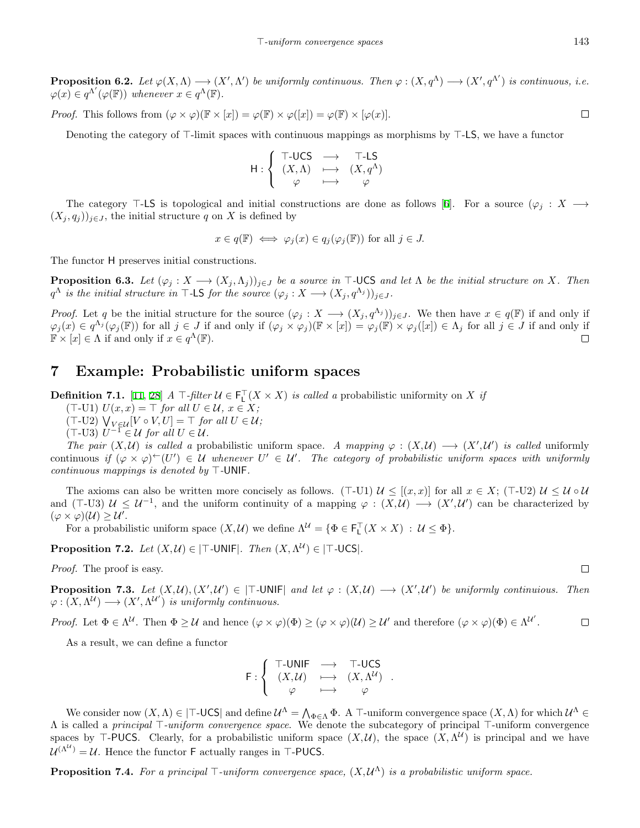**Proposition 6.2.** Let  $\varphi(X, \Lambda) \longrightarrow (X', \Lambda')$  be uniformly continuous. Then  $\varphi : (X, q^{\Lambda}) \longrightarrow (X', q^{\Lambda'})$  is continuous, i.e.  $\varphi(x) \in q^{\Lambda'}(\varphi(\mathbb{F}))$  *whenever*  $x \in q^{\Lambda}(\mathbb{F})$ *.* 

*Proof.* This follows from  $(\varphi \times \varphi)(\mathbb{F} \times [x]) = \varphi(\mathbb{F}) \times \varphi([x]) = \varphi(\mathbb{F}) \times [\varphi(x)].$ 

Denoting the category of *⊤*-limit spaces with continuous mappings as morphisms by *⊤*-LS, we have a functor

$$
\mathsf{H}:\left\{ \begin{array}{ccc} \mathsf{T}\text{-}\mathsf{UCS} & \longrightarrow & \mathsf{T}\text{-}\mathsf{LS} \\ (X,\Lambda) & \longmapsto & (X,q^\Lambda) \\ \varphi & \longmapsto & \varphi \end{array} \right.
$$

The category *⊤*-LS is topological and initial constructions are done as follows[[6\]](#page-15-3). For a source (*φ<sup>j</sup>* : *X −→*  $(X_j, q_j)$ <sub>*j*</sub>∈*J*, the initial structure *q* on *X* is defined by

$$
x \in q(\mathbb{F}) \iff \varphi_j(x) \in q_j(\varphi_j(\mathbb{F}))
$$
 for all  $j \in J$ .

The functor H preserves initial constructions.

**Proposition 6.3.** Let  $(\varphi_i : X \to (X_i, \Lambda_i))_{i \in J}$  be a source in T-UCS and let  $\Lambda$  be the initial structure on X. Then *q*<sup> $Λ$ </sup> *is the initial structure in*  $T$ -LS *for the source* ( $\varphi_j : X \longrightarrow (X_j, q^{\Lambda_j})_{j \in J}$ *.* 

*Proof.* Let q be the initial structure for the source  $(\varphi_j : X \longrightarrow (X_j, q^{\Lambda_j}))_{j \in J}$ . We then have  $x \in q(\mathbb{F})$  if and only if  $\varphi_j(x) \in q^{\Lambda_j}(\varphi_j(\mathbb{F}))$  for all  $j \in J$  if and only if  $(\varphi_j \times \varphi_j)(\mathbb{F} \times [x]) = \varphi_j(\mathbb{F}) \times \varphi_j([x]) \in \Lambda_j$  for all  $j \in J$  if and only if  $\mathbb{F} \times [x] \in \Lambda$  if and only if  $x \in q^{\Lambda}(\mathbb{F})$ .  $\Box$ 

#### **7 Example: Probabilistic uniform spaces**

**Definition 7.1.** [\[11](#page-15-6), [28](#page-16-6)]  $A \top$ *-filter*  $U \in \mathsf{F}_\mathsf{L}^\top(X \times X)$  *is called a* probabilistic uniformity on *X if* 

(*⊤*-U1) *U*(*x, x*) = *⊤ for all U ∈ U, x ∈ X;*

 $(T$ -U2)  $\bigvee_{V \in \mathcal{U}} [V \circ V, U] = \top$  *for all*  $U \in \mathcal{U}$ *;* 

 $(T$ -U3)  $U^{-1}$  ∈ U for all  $U \in \mathcal{U}$ .

*The pair*  $(X, U)$  *is called a* probabilistic uniform space. A mapping  $\varphi : (X, U) \longrightarrow (X', U')$  *is called* uniformly continuous if  $(\varphi \times \varphi) \leftarrow (U') \in \mathcal{U}$  whenever  $U' \in \mathcal{U}'$ . The category of probabilistic uniform spaces with uniformly *continuous mappings is denoted by ⊤-*UNIF*.*

The axioms can also be written more concisely as follows. ( $\top$ -U1)  $\mathcal{U} \leq [(x, x)]$  for all  $x \in X$ ; ( $\top$ -U2)  $\mathcal{U} \leq \mathcal{U} \circ \mathcal{U}$ and ( $\top$ -U3)  $\mathcal{U} \leq \mathcal{U}^{-1}$ , and the uniform continuity of a mapping  $\varphi : (X, \mathcal{U}) \longrightarrow (X', \mathcal{U}')$  can be characterized by  $(\varphi \times \varphi)(\mathcal{U}) \geq \mathcal{U}'$ .

For a probabilistic uniform space  $(X, \mathcal{U})$  we define  $\Lambda^{\mathcal{U}} = \{ \Phi \in \mathsf{F}_\mathsf{L}^\top (X \times X) : \mathcal{U} \leq \Phi \}.$ 

**Proposition 7.2.** *Let*  $(X, \mathcal{U}) \in |\mathsf{T}$ *-UNIF* $|$ *. Then*  $(X, \Lambda^{\mathcal{U}}) \in |\mathsf{T}$ *-UCS* $|$ *.* 

*Proof.* The proof is easy.

**Proposition 7.3.** Let  $(X, \mathcal{U}), (X', \mathcal{U}') \in |\top\text{-UNIF}|$  and let  $\varphi : (X, \mathcal{U}) \longrightarrow (X', \mathcal{U}')$  be uniformly continuious. Then  $\varphi : (X, \Lambda^{\mathcal{U}}) \longrightarrow (X', \Lambda^{\mathcal{U}'})$  *is uniformly continuous.* 

*Proof.* Let  $\Phi \in \Lambda^{\mathcal{U}}$ . Then  $\Phi \geq \mathcal{U}$  and hence  $(\varphi \times \varphi)(\Phi) \geq (\varphi \times \varphi)(\mathcal{U}) \geq \mathcal{U}'$  and therefore  $(\varphi \times \varphi)(\Phi) \in \Lambda^{\mathcal{U}'}$ .  $\Box$ 

As a result, we can define a functor

$$
\mathsf{F}: \left\{ \begin{array}{ccc} \mathsf{T}\text{-}\mathsf{UNIF} & \longrightarrow & \mathsf{T}\text{-}\mathsf{UCS} \\ (X,\mathcal{U}) & \longmapsto & (X,\Lambda^{\mathcal{U}}) \\ \varphi & \longmapsto & \varphi \end{array} \right. .
$$

We consider now  $(X, \Lambda) \in |\mathsf{T}-\mathsf{UCS}|$  and define  $\mathcal{U}^{\Lambda} = \bigwedge_{\Phi \in \Lambda} \Phi$ . A  $\mathsf{T}-\text{uniform convergence space } (X, \Lambda)$  for which  $\mathcal{U}^{\Lambda} \in$ Λ is called a *principal ⊤-uniform convergence space*. We denote the subcategory of principal *⊤*-uniform convergence spaces by  $\top$ -PUCS. Clearly, for a probabilistic uniform space  $(X, \mathcal{U})$ , the space  $(X, \Lambda^{\mathcal{U}})$  is principal and we have  $U^{(\Lambda^U)} = U$ . Hence the functor **F** actually ranges in *⊤*-PUCS.

**Proposition 7.4.** *For a principal ⊤-uniform convergence space,* (*X, U* <sup>Λ</sup>) *is a probabilistic uniform space.*

 $\Box$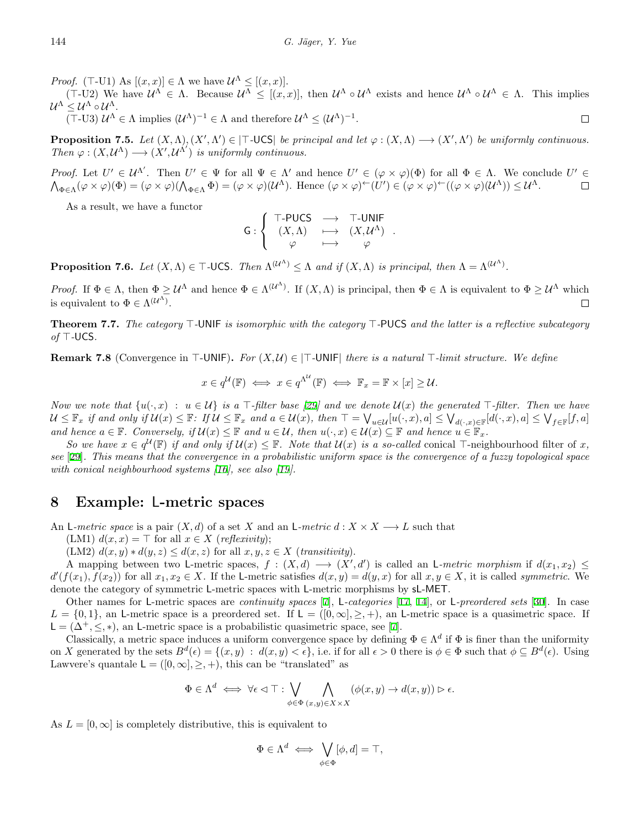*Proof.* ( $\top$ -U1) As  $[(x, x)] \in \Lambda$  we have  $\mathcal{U}^{\Lambda} \leq [(x, x)]$ .

 $(T-U2)$  We have  $\mathcal{U}^{\Lambda} \in \Lambda$ . Because  $\mathcal{U}^{\Lambda} \leq [(x,x)]$ , then  $\mathcal{U}^{\Lambda} \circ \mathcal{U}^{\Lambda}$  exists and hence  $\mathcal{U}^{\Lambda} \circ \mathcal{U}^{\Lambda} \in \Lambda$ . This implies *U* <sup>Λ</sup> *≤ U*<sup>Λ</sup> *◦ U*<sup>Λ</sup>.

 $(T$ -U3)  $\mathcal{U}^{\Lambda} \in \Lambda$  implies  $(\mathcal{U}^{\Lambda})^{-1} \in \Lambda$  and therefore  $\mathcal{U}^{\Lambda} \leq (\mathcal{U}^{\Lambda})^{-1}$ .  $\Box$ 

**Proposition 7.5.** Let  $(X, \Lambda), (X', \Lambda') \in |T\text{-UCS}|$  be principal and let  $\varphi : (X, \Lambda) \longrightarrow (X', \Lambda')$  be uniformly continuous. *Then*  $\varphi : (X, \mathcal{U}^{\Lambda}) \longrightarrow (X', \mathcal{U}^{\Lambda'})$  *is uniformly continuous.* 

*Proof.* Let  $U' \in \mathcal{U}^{\Lambda'}$ . Then  $U' \in \Psi$  for all  $\Psi \in \Lambda'$  and hence  $U' \in (\varphi \times \varphi)(\Phi)$  for all  $\Phi \in \Lambda$ . We conclude  $U' \in \mathcal{U}$  $\bigwedge_{\Phi\in\Lambda}(\varphi\times\varphi)(\Phi)=(\varphi\times\varphi)(\bigwedge_{\Phi\in\Lambda}\Phi)=(\varphi\times\varphi)(\mathcal{U}^{\Lambda}).$  Hence  $(\varphi\times\varphi)^{\leftarrow}(U')\in(\varphi\times\varphi)^{\leftarrow}((\varphi\times\varphi)(\mathcal{U}^{\Lambda}))\leq\mathcal{U}^{\Lambda}.$  $\Box$ 

As a result, we have a functor

$$
\mathsf{G}:\left\{ \begin{array}{ccc}\mathsf{T}\text{-PUCS} & \longrightarrow & \mathsf{T}\text{-}\mathsf{UNIF} \\ (X,\Lambda) & \longmapsto & (X,\mathcal{U}^\Lambda) \\ \varphi & \longmapsto & \varphi \end{array} \right. .
$$

**Proposition 7.6.** *Let*  $(X, \Lambda) \in \mathcal{T}$ -UCS*. Then*  $\Lambda^{(\mathcal{U}^{\Lambda})} \leq \Lambda$  *and if*  $(X, \Lambda)$  *is principal, then*  $\Lambda = \Lambda^{(\mathcal{U}^{\Lambda})}$ *.* 

*Proof.* If  $\Phi \in \Lambda$ , then  $\Phi \geq U^{\Lambda}$  and hence  $\Phi \in \Lambda^{(\mathcal{U}^{\Lambda})}$ . If  $(X, \Lambda)$  is principal, then  $\Phi \in \Lambda$  is equivalent to  $\Phi \geq U^{\Lambda}$  which is equivalent to  $\Phi \in \Lambda^{(\mathcal{U}^{\Lambda})}$ .  $\Box$ 

**Theorem 7.7.** *The category ⊤-*UNIF *is isomorphic with the category ⊤-*PUCS *and the latter is a reflective subcategory of ⊤-*UCS*.*

**Remark 7.8** (Convergence in *⊤*-UNIF)**.** *For* (*X, U*) *∈ |⊤-*UNIF*| there is a natural ⊤-limit structure. We define*

$$
x \in q^{\mathcal{U}}(\mathbb{F}) \iff x \in q^{\Lambda^{\mathcal{U}}}(\mathbb{F}) \iff \mathbb{F}_x = \mathbb{F} \times [x] \geq \mathcal{U}.
$$

Now we note that  $\{u(\cdot,x) : u \in \mathcal{U}\}\$  is a  $\top$ -filter base [[29\]](#page-16-4) and we denote  $\mathcal{U}(x)$  the generated  $\top$ -filter. Then we have  $\mathcal{U} \leq \mathbb{F}_x$  if and only if  $\mathcal{U}(x) \leq \mathbb{F}$ : If  $\mathcal{U} \leq \mathbb{F}_x$  and  $a \in \mathcal{U}(x)$ , then  $\top = \bigvee_{u \in \mathcal{U}} [u(\cdot,x),a] \leq \bigvee_{d(\cdot,x) \in \mathbb{F}} [d(\cdot,x),a] \leq \bigvee_{f \in \mathbb{F}} [f,a]$ and hence  $a \in \mathbb{F}$ . Conversely, if  $\mathcal{U}(x) \leq \mathbb{F}$  and  $u \in \mathcal{U}$ , then  $u(\cdot, x) \in \mathcal{U}(x) \subseteq \mathbb{F}$  and hence  $u \in \mathbb{F}_x$ .

So we have  $x \in q^{\mathcal{U}}(\mathbb{F})$  if and only if  $\mathcal{U}(x) \leq \mathbb{F}$ . Note that  $\mathcal{U}(x)$  is a so-called conical  $\top$ -neighbourhood filter of x, *see* [[29\]](#page-16-4)*. This means that the convergence in a probabilistic uniform space is the convergence of a fuzzy topological space with conical neighbourhood systems [\[16](#page-15-13)], see also [[19\]](#page-16-10).*

#### **8 Example:** L**-metric spaces**

An L-metric space is a pair  $(X, d)$  of a set X and an L-metric  $d: X \times X \longrightarrow L$  such that

(LM1)  $d(x, x) = \top$  for all  $x \in X$  (*reflexivity*);

(LM2)  $d(x, y) * d(y, z) \leq d(x, z)$  for all  $x, y, z \in X$  (*transitivity*).

A mapping between two L-metric spaces,  $f : (X, d) \longrightarrow (X', d')$  is called an L-metric morphism if  $d(x_1, x_2) \leq$  $d'(f(x_1), f(x_2))$  for all  $x_1, x_2 \in X$ . If the L-metric satisfies  $d(x, y) = d(y, x)$  for all  $x, y \in X$ , it is called symmetric. We denote the category of symmetric L-metric spaces with L-metric morphisms by sL-MET.

Other names for L-metric spaces are *continuity spaces* [\[7](#page-15-5)], L*-categories* [[17,](#page-16-11) [14](#page-15-8)], or L*-preordered sets* [\[30](#page-16-12)]. In case  $L = \{0, 1\}$ , an L-metric space is a preordered set. If  $L = ([0, \infty], \geq, +)$ , an L-metric space is a quasimetric space. If  $\mathsf{L} = (\Delta^+, \leq, *),$  $\mathsf{L} = (\Delta^+, \leq, *),$  $\mathsf{L} = (\Delta^+, \leq, *),$  an L-metric space is a probabilistic quasimetric space, see [[7\]](#page-15-5).

Classically, a metric space induces a uniform convergence space by defining  $\Phi \in \Lambda^d$  if  $\Phi$  is finer than the uniformity on X generated by the sets  $B^d(\epsilon) = \{(x, y) : d(x, y) < \epsilon\}$ , i.e. if for all  $\epsilon > 0$  there is  $\phi \in \Phi$  such that  $\phi \subseteq B^d(\epsilon)$ . Using Lawvere's quantale  $L = ([0, \infty], \geq, +)$ , this can be "translated" as

$$
\Phi\in \Lambda^d \iff \forall \epsilon\lhd \top: \bigvee_{\phi\in \Phi}\bigwedge_{(x,y)\in X\times X} (\phi(x,y)\rightarrow d(x,y)) \rhd \epsilon.
$$

As  $L = [0, \infty]$  is completely distributive, this is equivalent to

$$
\Phi \in \Lambda^d \iff \bigvee_{\phi \in \Phi} [\phi, d] = \top,
$$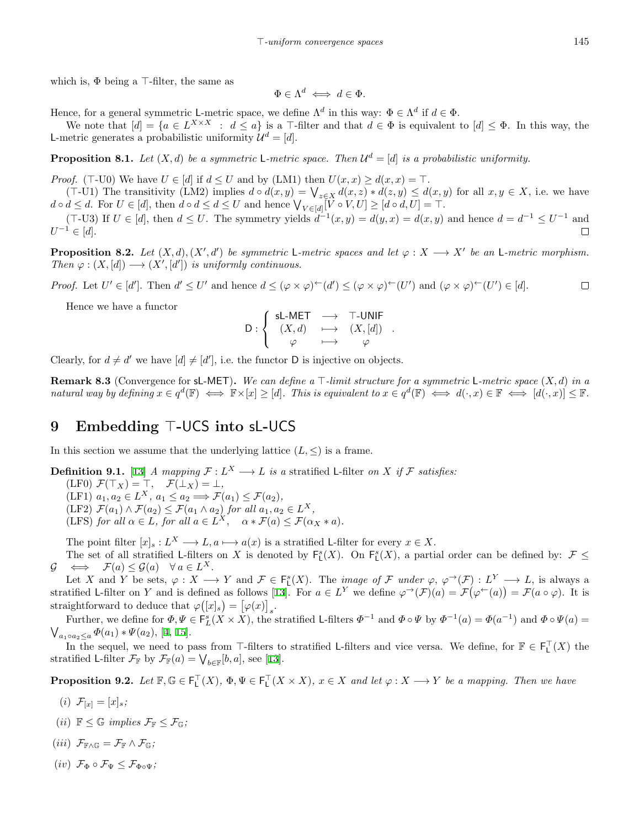which is, Φ being a *⊤*-filter, the same as

$$
\Phi \in \Lambda^d \iff d \in \Phi.
$$

Hence, for a general symmetric L-metric space, we define  $\Lambda^d$  in this way:  $\Phi \in \Lambda^d$  if  $d \in \Phi$ .

We note that  $[d] = \{a \in L^{X \times X} : d \leq a\}$  is a T-filter and that  $d \in \Phi$  is equivalent to  $[d] \leq \Phi$ . In this way, the L-metric generates a probabilistic uniformity  $\mathcal{U}^d = [d]$ .

**Proposition 8.1.** Let  $(X, d)$  be a symmetric L-metric space. Then  $\mathcal{U}^d = [d]$  is a probabilistic uniformity.

*Proof.* ( $\top$ -U0) We have  $U \in [d]$  if  $d \leq U$  and by (LM1) then  $U(x, x) \geq d(x, x) = \top$ .

 $(T-U1)$  The transitivity (LM2) implies  $d \circ d(x,y) = \bigvee_{z \in X} d(x,z) * d(z,y) \leq d(x,y)$  for all  $x, y \in X$ , i.e. we have  $d \circ d \leq d$ . For  $U \in [d]$ , then  $d \circ d \leq d \leq U$  and hence  $\bigvee_{V \in [d]} [V \circ V, U] \geq [d \circ d, U] = \top$ .

 $(T-U3)$  If  $U \in [d]$ , then  $d \leq U$ . The symmetry yields  $d^{-1}(x,y) = d(y,x) = d(x,y)$  and hence  $d = d^{-1} \leq U^{-1}$  and *U <sup>−</sup>*<sup>1</sup> *∈* [*d*].  $\Box$ 

**Proposition 8.2.** Let  $(X, d), (X', d')$  be symmetric L-metric spaces and let  $\varphi : X \longrightarrow X'$  be an L-metric morphism. *Then*  $\varphi : (X, [d]) \longrightarrow (X', [d'])$  *is uniformly continuous.* 

*Proof.* Let  $U' \in [d']$ . Then  $d' \leq U'$  and hence  $d \leq (\varphi \times \varphi)^{\leftarrow}(d') \leq (\varphi \times \varphi)^{\leftarrow}(U')$  and  $(\varphi \times \varphi)^{\leftarrow}(U') \in [d]$ .  $\Box$ 

Hence we have a functor

$$
\mathsf{D}: \left\{ \begin{array}{ccc} \mathsf{s}\mathsf{L}\text{-}\mathsf{MET} & \longrightarrow & \mathsf{T}\text{-}\mathsf{UNIF} \\ (X,d) & \longmapsto & (X,[d]) \\ \varphi & \longmapsto & \varphi \end{array} \right. .
$$

Clearly, for  $d \neq d'$  we have  $[d] \neq [d']$ , i.e. the functor D is injective on objects.

**Remark 8.3** (Convergence for sL-MET)**.** *We can define a ⊤-limit structure for a symmetric* L*-metric space* (*X, d*) *in a* natural way by defining  $x \in q^d(\mathbb{F}) \iff \mathbb{F} \times [x] \geq [d]$ . This is equivalent to  $x \in q^d(\mathbb{F}) \iff d(\cdot, x) \in \mathbb{F} \iff [d(\cdot, x)] \leq \mathbb{F}$ .

#### **9 Embedding** *⊤***-**UCS **into** sL**-**UCS

In this section we assume that the underlying lattice  $(L, \leq)$  is a frame.

**Definition 9.1.** [\[13](#page-15-14)] *A mapping*  $\mathcal{F}: L^X \longrightarrow L$  *is a* stratified L-filter *on X if*  $\mathcal{F}$  *satisfies:* 

 $(\text{LF}0) \ \mathcal{F}(\top_X) = \top, \quad \mathcal{F}(\bot_X) = \bot,$ 

 $(LF1)$   $a_1, a_2 \in L^X$ ,  $a_1 \le a_2 \Longrightarrow \mathcal{F}(a_1) \le \mathcal{F}(a_2)$ ,

(LF2)  $\mathcal{F}(a_1) \wedge \mathcal{F}(a_2) \leq \mathcal{F}(a_1 \wedge a_2)$  *for all*  $a_1, a_2 \in L^X$ *,* 

(LFS) *for all*  $\alpha \in L$ *, for all*  $a \in L^X$ ,  $\alpha * \mathcal{F}(a) \leq \mathcal{F}(\alpha_X * a)$ *.* 

The point filter  $[x]_s : L^X \longrightarrow L, a \longmapsto a(x)$  is a stratified L-filter for every  $x \in X$ .

The set of all stratified L-filters on *X* is denoted by  $\mathsf{F}_{\mathsf{L}}^s(X)$ . On  $\mathsf{F}_{\mathsf{L}}^s(X)$ , a partial order can be defined by:  $\mathcal{F} \leq$  $G \iff \mathcal{F}(a) \leq \mathcal{G}(a) \quad \forall \ a \in L^X.$ 

Let X and Y be sets,  $\varphi: X \longrightarrow Y$  and  $\mathcal{F} \in F_{L}^{s}(X)$ . The *image of* F under  $\varphi, \varphi^{\rightarrow}(\mathcal{F}): L^{Y} \longrightarrow L$ , is always a stratifiedL-filter on Y and is defined as follows [[13\]](#page-15-14). For  $a \in L^Y$  we define  $\varphi^{\rightarrow}(\mathcal{F})(a) = \mathcal{F}(\varphi^{\leftarrow}(a)) = \mathcal{F}(a \circ \varphi)$ . It is straightforward to deduce that  $\varphi([x]_s) = [\varphi(x)]_s$ .

Further, we define for  $\Phi, \Psi \in \mathsf{F}_L^s(X \times X)$ , the stratified L-filters  $\Phi^{-1}$  and  $\Phi \circ \Psi$  by  $\Phi^{-1}(a) = \Phi(a^{-1})$  and  $\Phi \circ \Psi(a) =$  $\bigvee_{a_1 \circ a_2 \leq a} \Phi(a_1) * \Psi(a_2), [4, 15].$  $\bigvee_{a_1 \circ a_2 \leq a} \Phi(a_1) * \Psi(a_2), [4, 15].$  $\bigvee_{a_1 \circ a_2 \leq a} \Phi(a_1) * \Psi(a_2), [4, 15].$  $\bigvee_{a_1 \circ a_2 \leq a} \Phi(a_1) * \Psi(a_2), [4, 15].$  $\bigvee_{a_1 \circ a_2 \leq a} \Phi(a_1) * \Psi(a_2), [4, 15].$  $\bigvee_{a_1 \circ a_2 \leq a} \Phi(a_1) * \Psi(a_2), [4, 15].$  $\bigvee_{a_1 \circ a_2 \leq a} \Phi(a_1) * \Psi(a_2), [4, 15].$ 

In the sequel, we need to pass from  $\top$ -filters to stratified L-filters and vice versa. We define, for  $\mathbb{F} \in \mathsf{F}_\mathsf{L}^\top(X)$  the stratifiedL-filter  $\mathcal{F}_{\mathbb{F}}$  by  $\mathcal{F}_{\mathbb{F}}(a) = \bigvee_{b \in \mathbb{F}} [b, a]$ , see [[13\]](#page-15-14).

**Proposition 9.2.** Let  $\mathbb{F}, \mathbb{G} \in \mathsf{F}_\mathsf{L}^\top(X)$ ,  $\Phi, \Psi \in \mathsf{F}_\mathsf{L}^\top(X \times X)$ ,  $x \in X$  and let  $\varphi : X \longrightarrow Y$  be a mapping. Then we have

- (*i*)  $\mathcal{F}_{[x]} = [x]_s;$
- $(iii)$   $\mathbb{F} \leq \mathbb{G}$  *implies*  $\mathcal{F}_{\mathbb{F}} \leq \mathcal{F}_{\mathbb{G}}$ ;
- $(iii)$   $\mathcal{F}_{\mathbb{F}\wedge\mathbb{G}} = \mathcal{F}_{\mathbb{F}} \wedge \mathcal{F}_{\mathbb{G}}$ ;
- $(iv)$   $\mathcal{F}_{\Phi} \circ \mathcal{F}_{\Psi} \leq \mathcal{F}_{\Phi \circ \Psi}$ ;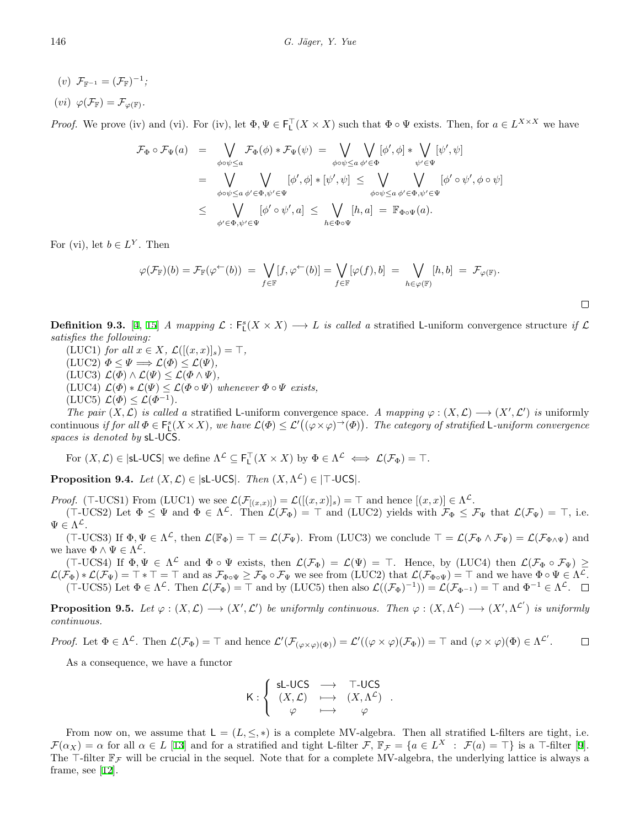- $(v)$   $\mathcal{F}_{\mathbb{F}^{-1}} = (\mathcal{F}_{\mathbb{F}})^{-1}$ ;
- $(vi) \varphi(\mathcal{F}_{\mathbb{F}}) = \mathcal{F}_{\varphi(\mathbb{F})}.$

*Proof.* We prove (iv) and (vi). For (iv), let  $\Phi, \Psi \in \mathsf{F}_\mathsf{L}^\mathsf{T}(X \times X)$  such that  $\Phi \circ \Psi$  exists. Then, for  $a \in L^{X \times X}$  we have

$$
\mathcal{F}_{\Phi} \circ \mathcal{F}_{\Psi}(a) = \bigvee_{\phi \circ \psi \leq a} \mathcal{F}_{\Phi}(\phi) * \mathcal{F}_{\Psi}(\psi) = \bigvee_{\phi \circ \psi \leq a} \bigvee_{\phi' \in \Phi} [\phi', \phi] * \bigvee_{\psi' \in \Psi} [\psi', \psi]
$$
  
\n
$$
= \bigvee_{\phi \circ \psi \leq a} \bigvee_{\phi' \in \Phi, \psi' \in \Psi} [\phi', \phi] * [\psi', \psi] \leq \bigvee_{\phi \circ \psi \leq a} \bigvee_{\phi \circ \psi \leq a} [\phi' \circ \psi', \phi \circ \psi]
$$
  
\n
$$
\leq \bigvee_{\phi' \in \Phi, \psi' \in \Psi} [\phi' \circ \psi', a] \leq \bigvee_{h \in \Phi \circ \Psi} [h, a] = \mathbb{F}_{\Phi \circ \Psi}(a).
$$

For (vi), let  $b \in L^Y$ . Then

$$
\varphi(\mathcal{F}_{\mathbb{F}})(b) = \mathcal{F}_{\mathbb{F}}(\varphi^{\leftarrow}(b)) = \bigvee_{f \in \mathbb{F}} [f, \varphi^{\leftarrow}(b)] = \bigvee_{f \in \mathbb{F}} [\varphi(f), b] = \bigvee_{h \in \varphi(\mathbb{F})} [h, b] = \mathcal{F}_{\varphi(\mathbb{F})}.
$$

**Definition 9.3.** [\[4](#page-15-2), [15\]](#page-15-1) *A mapping*  $\mathcal{L} : \mathsf{F}_{\mathsf{L}}^s(X \times X) \longrightarrow L$  *is called a* stratified L-uniform convergence structure *if*  $\mathcal{L}$ *satisfies the following:*

- $(LUC1)$  *for all*  $x \in X$ *,*  $\mathcal{L}([(x, x)]_s) = \top$ *,*
- $(LUC2) \Phi \leq \Psi \Longrightarrow \mathcal{L}(\Phi) \leq \mathcal{L}(\Psi),$
- $(LUC3) \mathcal{L}(\Phi) \wedge \mathcal{L}(\Psi) \leq \mathcal{L}(\Phi \wedge \Psi),$
- $(LUC4) \mathcal{L}(\Phi) * \mathcal{L}(\Psi) \leq \mathcal{L}(\Phi \circ \Psi)$  whenever  $\Phi \circ \Psi$  exists,
- $(LUC5) \mathcal{L}(\Phi) \leq \mathcal{L}(\Phi^{-1})$ *.*

*The pair*  $(X, \mathcal{L})$  *is called a* stratified L-uniform convergence space. A mapping  $\varphi : (X, \mathcal{L}) \longrightarrow (X', \mathcal{L}')$  *is* uniformly continuous if for all  $\Phi \in \mathsf{F}_{\mathsf{L}}^s(X \times X)$ , we have  $\mathcal{L}(\Phi) \leq \mathcal{L}'((\varphi \times \varphi) \to (\Phi))$ . The category of stratified L-uniform convergence *spaces is denoted by* sL*-*UCS*.*

For  $(X, \mathcal{L}) \in |\mathsf{sl}\text{-}\mathsf{UCS}|$  we define  $\Lambda^{\mathcal{L}} \subseteq \mathsf{F}_\mathsf{L}^\top(X \times X)$  by  $\Phi \in \Lambda^{\mathcal{L}} \iff \mathcal{L}(\mathcal{F}_\Phi) = \top$ .

**Proposition 9.4.** *Let*  $(X, \mathcal{L}) \in |\mathsf{sL\text{-}UCS}|$ *. Then*  $(X, \Lambda^{\mathcal{L}}) \in |\mathsf{T\text{-}UCS}|$ *.* 

*Proof.* ( $\top$ -UCS1) From (LUC1) we see  $\mathcal{L}(\mathcal{F}_{[(x,x)]}) = \mathcal{L}([x,x)]_s$ ) =  $\top$  and hence  $[(x,x)] \in \Lambda^{\mathcal{L}}$ .

 $(T$ -UCS2) Let  $\Phi \leq \Psi$  and  $\Phi \in \Lambda^{\mathcal{L}}$ . Then  $\mathcal{L}(\mathcal{F}_{\Phi}) = \top$  and (LUC2) yields with  $\mathcal{F}_{\Phi} \leq \mathcal{F}_{\Psi}$  that  $\mathcal{L}(\mathcal{F}_{\Psi}) = \top$ , i.e.  $\Psi \in \Lambda^{\mathcal{L}}$ .

 $(T$ -UCS3) If  $\Phi, \Psi \in \Lambda^{\mathcal{L}}$ , then  $\mathcal{L}(\mathbb{F}_{\Phi}) = \top = \mathcal{L}(\mathcal{F}_{\Psi})$ . From (LUC3) we conclude  $\top = \mathcal{L}(\mathcal{F}_{\Phi} \wedge \mathcal{F}_{\Psi}) = \mathcal{L}(\mathcal{F}_{\Phi \wedge \Psi})$  and we have  $\Phi \wedge \Psi \in \Lambda^{\mathcal{L}}$ .

 $(T$ -UCS4) If  $\Phi, \Psi \in \Lambda^{\mathcal{L}}$  and  $\Phi \circ \Psi$  exists, then  $\mathcal{L}(\mathcal{F}_{\Phi}) = \mathcal{L}(\Psi) = \top$ . Hence, by (LUC4) then  $\mathcal{L}(\mathcal{F}_{\Phi} \circ \mathcal{F}_{\Psi}) \ge$  $\mathcal{L}(\mathcal{F}_{\Phi}) * \mathcal{L}(\mathcal{F}_{\Psi}) = \top * \top = \top$  and as  $\mathcal{F}_{\Phi \circ \Psi} \geq \mathcal{F}_{\Phi} \circ \mathcal{F}_{\Psi}$  we see from (LUC2) that  $\mathcal{L}(\mathcal{F}_{\Phi \circ \Psi}) = \top$  and we have  $\Phi \circ \Psi \in \Lambda^{\mathcal{L}}$ .  $(\top\text{-UCS5})$  Let  $\Phi \in \Lambda^{\mathcal{L}}$ . Then  $\mathcal{L}(\mathcal{F}_{\Phi}) = \top$  and by (LUC5) then also  $\mathcal{L}((\mathcal{F}_{\Phi})^{-1}) = \mathcal{L}(\mathcal{F}_{\Phi^{-1}}) = \top$  and  $\Phi^{-1} \in \Lambda^{\mathcal{L}}$ .

**Proposition 9.5.** Let  $\varphi : (X, \mathcal{L}) \longrightarrow (X', \mathcal{L}')$  be uniformly continuous. Then  $\varphi : (X, \Lambda^{\mathcal{L}}) \longrightarrow (X', \Lambda^{\mathcal{L}'})$  is uniformly *continuous.*

*Proof.* Let  $\Phi \in \Lambda^{\mathcal{L}}$ . Then  $\mathcal{L}(\mathcal{F}_{\Phi}) = \top$  and hence  $\mathcal{L}'(\mathcal{F}_{(\varphi \times \varphi)(\Phi)}) = \mathcal{L}'((\varphi \times \varphi)(\mathcal{F}_{\Phi})) = \top$  and  $(\varphi \times \varphi)(\Phi) \in \Lambda^{\mathcal{L}'}$ .  $\Box$ 

As a consequence, we have a functor

$$
\mathsf{K}: \left\{ \begin{array}{ccc} \mathsf{s}\mathsf{L}\text{-}\mathsf{UCS} & \longrightarrow & \mathsf{T}\text{-}\mathsf{UCS} \\ (X,\mathcal{L}) & \longmapsto & (X,\Lambda^{\mathcal{L}}) \\ \varphi & \longmapsto & \varphi \end{array} \right..
$$

From now on, we assume that  $L = (L, \leq, *)$  is a complete MV-algebra. Then all stratified L-filters are tight, i.e.  $\mathcal{F}(\alpha_X) = \alpha$  for all  $\alpha \in L$  [\[13](#page-15-14)] and for a stratified and tight L-filter  $\mathcal{F}, \mathbb{F}_{\mathcal{F}} = \{a \in L^X : \mathcal{F}(a) = \top\}$  is a  $\top$ -filter [\[9](#page-15-11)]. The *⊤*-filter  $\mathbb{F}_{\mathcal{F}}$  will be crucial in the sequel. Note that for a complete MV-algebra, the underlying lattice is always a frame, see[[12\]](#page-15-4).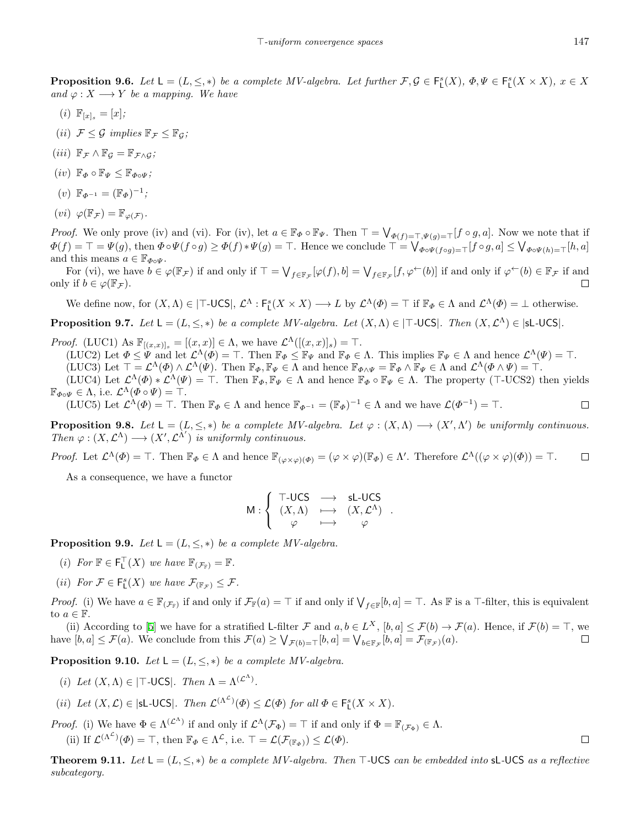**Proposition 9.6.** Let  $L = (L, \leq, *)$  be a complete MV-algebra. Let further  $\mathcal{F}, \mathcal{G} \in F_L^s(X), \Phi, \Psi \in F_L^s(X \times X), x \in X$ *and*  $\varphi: X \longrightarrow Y$  *be a mapping. We have* 

- (*i*)  $\mathbb{F}_{[x]_s} = [x]$ ;
- (*ii*)  $\mathcal{F} \leq \mathcal{G}$  *implies*  $\mathbb{F}_{\mathcal{F}} \leq \mathbb{F}_{\mathcal{G}}$ ;
- $(iii)$   $\mathbb{F}_{\mathcal{F}} \wedge \mathbb{F}_{\mathcal{G}} = \mathbb{F}_{\mathcal{F} \wedge \mathcal{G}}$ ;
- $(iv)$   $\mathbb{F}_{\Phi} \circ \mathbb{F}_{\Psi} \leq \mathbb{F}_{\Phi \circ \Psi}$ ;
- $(v) \mathbb{F}_{\Phi^{-1}} = (\mathbb{F}_{\Phi})^{-1};$
- $(vi) \varphi(\mathbb{F}_{\mathcal{F}}) = \mathbb{F}_{\varphi(\mathcal{F})}.$

*Proof.* We only prove (iv) and (vi). For (iv), let  $a \in \mathbb{F}_{\Phi} \circ \mathbb{F}_{\Psi}$ . Then  $\top = \bigvee_{\Phi(f) = \top, \Psi(g) = \top} [f \circ g, a]$ . Now we note that if  $\Phi(f) = \top = \Psi(g)$ , then  $\Phi \circ \Psi(f \circ g) \ge \Phi(f) * \Psi(g) = \top$ . Hence we conclude  $\top = \bigvee_{\Phi \circ \Psi(f \circ g) = \top} [f \circ g]$ ,  $a] \le \bigvee_{\Phi \circ \Psi(h) = \top} [h, a]$ and this means  $a \in \mathbb{F}_{\Phi \circ \Psi}$ .

For (vi), we have  $b \in \varphi(\mathbb{F}_{\mathcal{F}})$  if and only if  $\top = \bigvee_{f \in \mathbb{F}_{\mathcal{F}}} [\varphi(f), b] = \bigvee_{f \in \mathbb{F}_{\mathcal{F}}}[f, \varphi^{\leftarrow}(b)]$  if and only if  $\varphi^{\leftarrow}(b) \in \mathbb{F}_{\mathcal{F}}$  if and only if  $b \in \varphi(\mathbb{F}_{\mathcal{F}})$ .  $\Box$ 

We define now, for  $(X, \Lambda) \in |\top\text{-UCS}|$ ,  $\mathcal{L}^{\Lambda} : F_{L}^{s}(X \times X) \longrightarrow L$  by  $\mathcal{L}^{\Lambda}(\Phi) = \top$  if  $\mathbb{F}_{\Phi} \in \Lambda$  and  $\mathcal{L}^{\Lambda}(\Phi) = \bot$  otherwise.

**Proposition 9.7.** Let  $L = (L, \leq, *)$  be a complete MV-algebra. Let  $(X, \Lambda) \in |\mathsf{T}-UCS|$ . Then  $(X, \mathcal{L}^{\Lambda}) \in |sL-UCS|$ .

*Proof.* (LUC1) As  $\mathbb{F}_{[(x,x)]_s} = [(x,x)] \in \Lambda$ , we have  $\mathcal{L}^{\Lambda}([x,x)]_s = \top$ .

(LUC2) Let  $\Phi \leq \Psi$  and let  $\mathcal{L}^{\Lambda}(\Phi) = \top$ . Then  $\mathbb{F}_{\Phi} \leq \mathbb{F}_{\Psi}$  and  $\mathbb{F}_{\Phi} \in \Lambda$ . This implies  $\mathbb{F}_{\Psi} \in \Lambda$  and hence  $\mathcal{L}^{\Lambda}(\Psi) = \top$ . (LUC3) Let  $\top = \mathcal{L}^{\Lambda}(\Phi) \wedge \mathcal{L}^{\Lambda}(\Psi)$ . Then  $\mathbb{F}_{\Phi}, \mathbb{F}_{\Psi} \in \Lambda$  and hence  $\mathbb{F}_{\Phi \wedge \Psi} = \mathbb{F}_{\Phi} \wedge \mathbb{F}_{\Psi} \in \Lambda$  and  $\mathcal{L}^{\Lambda}(\Phi \wedge \Psi) = \top$ .

(LUC4) Let  $\mathcal{L}^{\Lambda}(\Phi) * \mathcal{L}^{\Lambda}(\Psi) = \top$ . Then  $\mathbb{F}_{\Phi}, \mathbb{F}_{\Psi} \in \Lambda$  and hence  $\mathbb{F}_{\Phi} \circ \mathbb{F}_{\Psi} \in \Lambda$ . The property (*⊤*-UCS2) then yields  $\mathbb{F}_{\Phi\circ\Psi} \in \Lambda$ , i.e.  $\mathcal{L}^{\Lambda}(\Phi \circ \Psi) = \top$ .

(LUC5) Let  $\mathcal{L}^{\Lambda}(\Phi) = \top$ . Then  $\mathbb{F}_{\Phi} \in \Lambda$  and hence  $\mathbb{F}_{\Phi^{-1}} = (\mathbb{F}_{\Phi})^{-1} \in \Lambda$  and we have  $\mathcal{L}(\Phi^{-1}) = \top$ .

**Proposition 9.8.** Let  $L = (L, \leq, *)$  be a complete MV-algebra. Let  $\varphi : (X, \Lambda) \longrightarrow (X', \Lambda')$  be uniformly continuous. *Then*  $\varphi : (X, \mathcal{L}^{\Lambda}) \longrightarrow (X', \mathcal{L}^{\Lambda'})$  *is uniformly continuous.* 

*Proof.* Let  $\mathcal{L}^{\Lambda}(\Phi) = \top$ . Then  $\mathbb{F}_{\Phi} \in \Lambda$  and hence  $\mathbb{F}_{(\varphi \times \varphi)(\Phi)} = (\varphi \times \varphi)(\mathbb{F}_{\Phi}) \in \Lambda'$ . Therefore  $\mathcal{L}^{\Lambda}((\varphi \times \varphi)(\Phi)) = \top$ .  $\Box$ 

As a consequence, we have a functor

$$
\mathsf{M}: \left\{ \begin{array}{ccc} \mathsf{T}\text{-UCS} & \longrightarrow & \mathsf{sL\text{-}UCS} \\ (X,\Lambda) & \longmapsto & (X,\mathcal{L}^{\Lambda}) \\ \varphi & \longmapsto & \varphi \end{array} \right.
$$

*.*

**Proposition 9.9.** *Let*  $L = (L, \leq, *)$  *be a complete MV-algebra.* 

- $(i)$  *For*  $\mathbb{F} \in \mathsf{F}_\mathsf{L}^\top(X)$  *we have*  $\mathbb{F}_{(\mathcal{F}_\mathbb{F})} = \mathbb{F}$ *.*
- (*ii*) For  $\mathcal{F} \in \mathsf{F}_{\mathsf{L}}^s(X)$  we have  $\mathcal{F}_{(\mathbb{F}_{\mathcal{F}})} \leq \mathcal{F}$ .

*Proof.* (i) We have  $a \in \mathbb{F}_{(\mathcal{F}_{\mathbb{F}})}$  if and only if  $\mathcal{F}_{\mathbb{F}}(a) = \top$  if and only if  $\bigvee_{f \in \mathbb{F}} [b, a] = \top$ . As  $\mathbb{F}$  is a  $\top$ -filter, this is equivalent to  $a \in \mathbb{F}$ .

(ii)According to [[5](#page-15-15)] we have for a stratified L-filter  $\mathcal F$  and  $a, b \in L^X$ ,  $[b, a] \leq \mathcal F(b) \to \mathcal F(a)$ . Hence, if  $\mathcal F(b) = \top$ , we have  $[b, a] \leq \mathcal{F}(a)$ . We conclude from this  $\mathcal{F}(a) \geq \bigvee_{\mathcal{F}(b)=\top} [b, a] = \bigvee_{b \in \mathbb{F}_{\mathcal{F}}}[b, a] = \mathcal{F}_{(\mathbb{F}_{\mathcal{F}})}(a)$ .  $\Box$ 

**Proposition 9.10.** *Let*  $L = (L, \leq, *)$  *be a complete MV-algebra.* 

- (*i*) *Let*  $(X, \Lambda) \in |\mathsf{T}-\mathsf{UCS}|$ *. Then*  $\Lambda = \Lambda^{(\mathcal{L}^{\Lambda})}$ *.*
- (*ii*) Let  $(X, \mathcal{L}) \in |\mathsf{sL-UCS}|$ *. Then*  $\mathcal{L}^{(\Lambda^{\mathcal{L}})}(\Phi) \leq \mathcal{L}(\Phi)$  for all  $\Phi \in \mathsf{F}_{\mathsf{L}}^{s}(X \times X)$ *.*
- *Proof.* (i) We have  $\Phi \in \Lambda^{(\mathcal{L}^{\Lambda})}$  if and only if  $\mathcal{L}^{\Lambda}(\mathcal{F}_{\Phi}) = \top$  if and only if  $\Phi = \mathbb{F}_{(\mathcal{F}_{\Phi})} \in \Lambda$ . (ii) If  $\mathcal{L}^{(\Lambda^{\mathcal{L}})}(\Phi) = \top$ , then  $\mathbb{F}_{\Phi} \in \Lambda^{\mathcal{L}}$ , i.e.  $\top = \mathcal{L}(\mathcal{F}_{(\mathbb{F}_{\Phi})}) \leq \mathcal{L}(\Phi)$ .

**Theorem 9.11.** *Let*  $L = (L, \leq, *)$  *be a complete MV-algebra. Then*  $\top$ -UCS *can be embedded into* sL-UCS *as a reflective subcategory.*

 $\Box$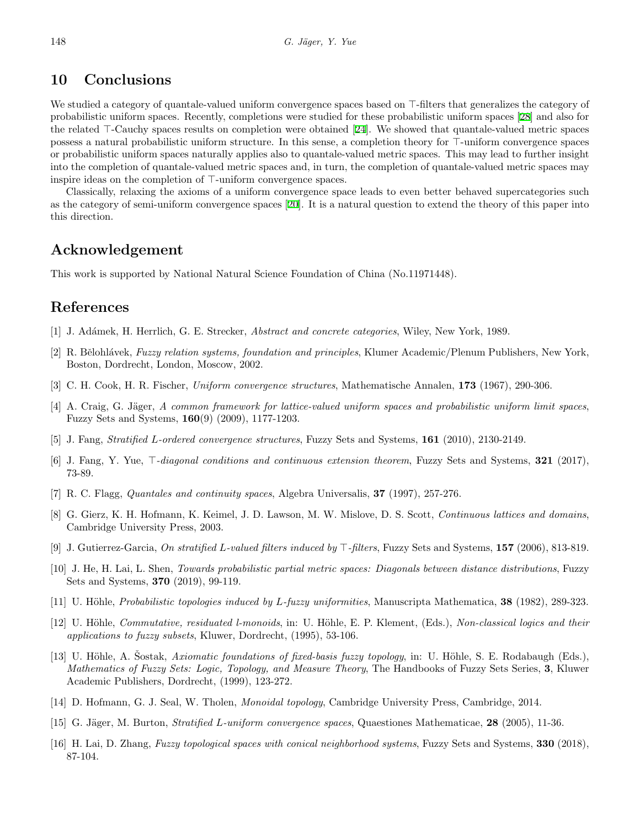# **10 Conclusions**

We studied a category of quantale-valued uniform convergence spaces based on *⊤*-filters that generalizes the category of probabilistic uniform spaces. Recently, completions were studied for these probabilistic uniform spaces[[28\]](#page-16-6) and also for the related *⊤*-Cauchy spaces results on completion were obtained[[24\]](#page-16-5). We showed that quantale-valued metric spaces possess a natural probabilistic uniform structure. In this sense, a completion theory for *⊤*-uniform convergence spaces or probabilistic uniform spaces naturally applies also to quantale-valued metric spaces. This may lead to further insight into the completion of quantale-valued metric spaces and, in turn, the completion of quantale-valued metric spaces may inspire ideas on the completion of *⊤*-uniform convergence spaces.

Classically, relaxing the axioms of a uniform convergence space leads to even better behaved supercategories such as the category of semi-uniform convergence spaces [\[20](#page-16-13)]. It is a natural question to extend the theory of this paper into this direction.

## **Acknowledgement**

This work is supported by National Natural Science Foundation of China (No.11971448).

#### **References**

- <span id="page-15-12"></span>[1] J. Ad´amek, H. Herrlich, G. E. Strecker, *Abstract and concrete categories*, Wiley, New York, 1989.
- <span id="page-15-10"></span>[2] R. Bˇelohl´avek, *Fuzzy relation systems, foundation and principles*, Klumer Academic/Plenum Publishers, New York, Boston, Dordrecht, London, Moscow, 2002.
- <span id="page-15-0"></span>[3] C. H. Cook, H. R. Fischer, *Uniform convergence structures*, Mathematische Annalen, **173** (1967), 290-306.
- <span id="page-15-2"></span>[4] A. Craig, G. Jäger, A common framework for lattice-valued uniform spaces and probabilistic uniform limit spaces, Fuzzy Sets and Systems, **160**(9) (2009), 1177-1203.
- <span id="page-15-15"></span>[5] J. Fang, *Stratified L-ordered convergence structures*, Fuzzy Sets and Systems, **161** (2010), 2130-2149.
- <span id="page-15-3"></span>[6] J. Fang, Y. Yue, *⊤-diagonal conditions and continuous extension theorem*, Fuzzy Sets and Systems, **321** (2017), 73-89.
- <span id="page-15-5"></span>[7] R. C. Flagg, *Quantales and continuity spaces*, Algebra Universalis, **37** (1997), 257-276.
- <span id="page-15-7"></span>[8] G. Gierz, K. H. Hofmann, K. Keimel, J. D. Lawson, M. W. Mislove, D. S. Scott, *Continuous lattices and domains*, Cambridge University Press, 2003.
- <span id="page-15-11"></span>[9] J. Gutierrez-Garcia, *On stratified L-valued filters induced by ⊤-filters*, Fuzzy Sets and Systems, **157** (2006), 813-819.
- <span id="page-15-9"></span>[10] J. He, H. Lai, L. Shen, *Towards probabilistic partial metric spaces: Diagonals between distance distributions*, Fuzzy Sets and Systems, **370** (2019), 99-119.
- <span id="page-15-6"></span>[11] U. Höhle, *Probabilistic topologies induced by L-fuzzy uniformities*, Manuscripta Mathematica, **38** (1982), 289-323.
- <span id="page-15-4"></span>[12] U. H¨ohle, *Commutative, residuated l-monoids*, in: U. H¨ohle, E. P. Klement, (Eds.), *Non-classical logics and their applications to fuzzy subsets*, Kluwer, Dordrecht, (1995), 53-106.
- <span id="page-15-14"></span>[13] U. Höhle, A. Sostak, *Axiomatic foundations of fixed-basis fuzzy topology*, in: U. Höhle, S. E. Rodabaugh (Eds.), *Mathematics of Fuzzy Sets: Logic, Topology, and Measure Theory*, The Handbooks of Fuzzy Sets Series, **3**, Kluwer Academic Publishers, Dordrecht, (1999), 123-272.
- <span id="page-15-8"></span>[14] D. Hofmann, G. J. Seal, W. Tholen, *Monoidal topology*, Cambridge University Press, Cambridge, 2014.
- <span id="page-15-1"></span>[15] G. Jäger, M. Burton, *Stratified L-uniform convergence spaces*, Quaestiones Mathematicae, 28 (2005), 11-36.
- <span id="page-15-13"></span>[16] H. Lai, D. Zhang, *Fuzzy topological spaces with conical neighborhood systems*, Fuzzy Sets and Systems, **330** (2018), 87-104.